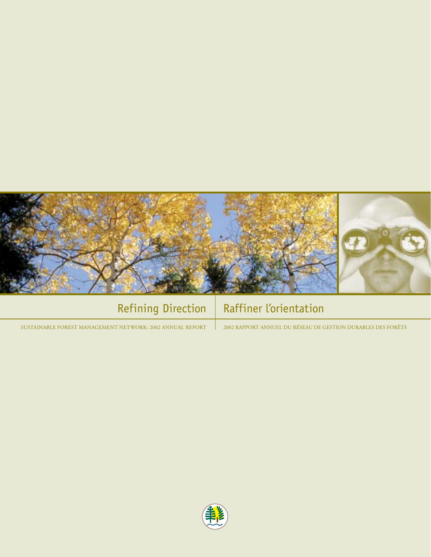

# Refining Direction  $\Big|$  Raffiner l'orientation

SUSTAINABLE FOREST MANAGEMENT NETWORK: 2002 ANNUAL REPORT 2002 RAPPORT ANNUEL DU RÉSEAU DE GESTION DURABLES DES FORÊTS

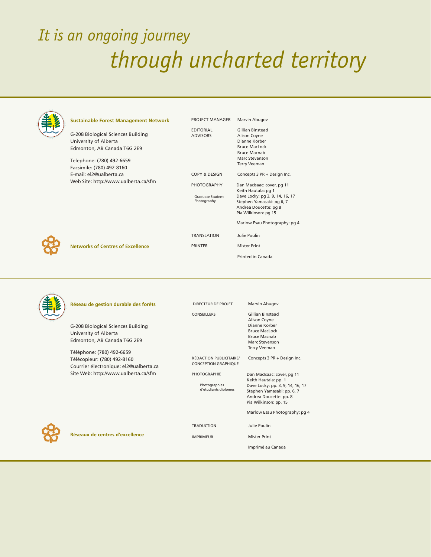# *It is an ongoing journey through uncharted territory*

| <b>CANAL</b><br>v, | <b>Sustainable Forest Management Network</b><br>G-208 Biological Sciences Building | PROJECT MANAGER<br><b>EDITORIAL</b><br><b>ADVISORS</b> | Marvin Abugov<br>Gillian Binstead<br>Alison Coyne<br>Dianne Korber                                            |
|--------------------|------------------------------------------------------------------------------------|--------------------------------------------------------|---------------------------------------------------------------------------------------------------------------|
|                    | University of Alberta<br>Edmonton, AB Canada T6G 2E9                               |                                                        | <b>Bruce MacLock</b><br><b>Bruce Macnab</b>                                                                   |
|                    | Telephone: (780) 492-6659<br>Facsimile: (780) 492-8160                             |                                                        | Marc Stevenson<br><b>Terry Veeman</b>                                                                         |
|                    | E-mail: el2@ualberta.ca<br>Web Site: http://www.ualberta.ca/sfm                    | <b>COPY &amp; DESIGN</b>                               | Concepts 3 PR + Design Inc.                                                                                   |
|                    |                                                                                    | PHOTOGRAPHY                                            | Dan MacIsaac: cover, pg 11<br>Keith Hautala: pg 1                                                             |
|                    |                                                                                    | <b>Graduate Student</b><br>Photography                 | Dave Locky: pg 3, 9, 14, 16, 17<br>Stephen Yamasaki: pg 6, 7<br>Andrea Doucette: pg 8<br>Pia Wilkinson: pg 15 |
|                    |                                                                                    |                                                        | Marlow Esau Photography: pg 4                                                                                 |
|                    |                                                                                    | <b>TRANSLATION</b>                                     | Julie Poulin                                                                                                  |
|                    | <b>Networks of Centres of Excellence</b>                                           | <b>PRINTER</b>                                         | <b>Mister Print</b>                                                                                           |
|                    |                                                                                    |                                                        | Printed in Canada                                                                                             |



**Réseau de gestion durable des forêts**

G-208 Biological Sciences Building University of Alberta Edmonton, AB Canada T6G 2E9

Téléphone: (780) 492-6659 Télécopieur: (780) 492-8160 Courrier électronique: el2@ualberta.ca Site Web: http://www.ualberta.ca/sfm

| DIRECTEUR DE PROJET                                          | Marvin Abugov                                                                                                                                                                                            |
|--------------------------------------------------------------|----------------------------------------------------------------------------------------------------------------------------------------------------------------------------------------------------------|
| <b>CONSEILLERS</b>                                           | Gillian Rinstead<br>Alison Coyne<br>Dianne Korber<br><b>Bruce MacLock</b><br><b>Bruce Macnab</b><br>Marc Stevenson<br><b>Terry Veeman</b>                                                                |
| RÉDACTION PUBLICITAIRE/<br><b>CONCEPTION GRAPHIQUE</b>       | Concepts 3 PR + Design Inc.                                                                                                                                                                              |
| <b>PHOTOGRAPHIE</b><br>Photographies<br>d'etudiants diplomes | Dan MacIsaac: cover, pg 11<br>Keith Hautala: pp. 1<br>Dave Locky: pp. 3, 9, 14, 16, 17<br>Stephen Yamasaki: pp. 6, 7<br>Andrea Doucette: pp. 8<br>Pia Wilkinson: pp. 15<br>Marlow Esau Photography: pg 4 |
| <b>TRADUCTION</b><br><b>IMPRIMEUR</b>                        | <b>Julie Poulin</b><br><b>Mister Print</b>                                                                                                                                                               |
|                                                              |                                                                                                                                                                                                          |

**Réseaux de centres d'excellence**

Imprimé au Canada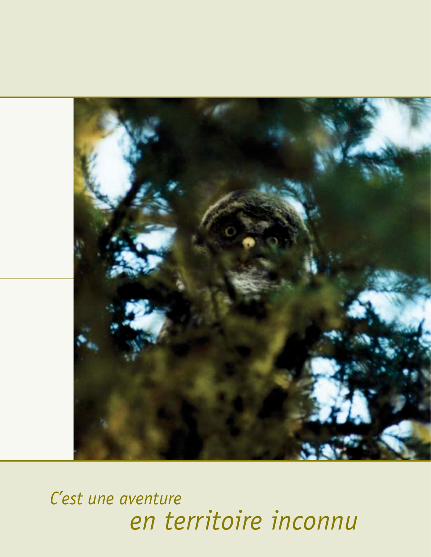

*C'est une aventure en territoire inconnu*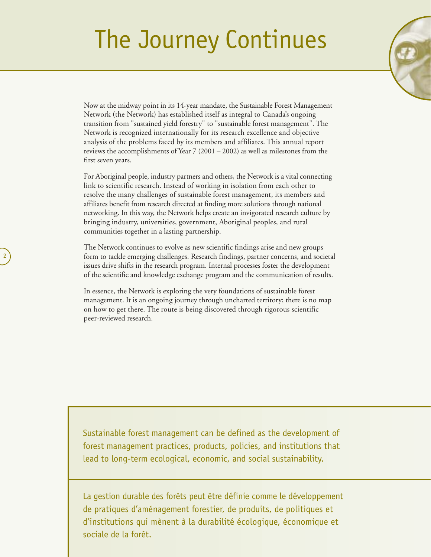# The Journey Continues

Now at the midway point in its 14-year mandate, the Sustainable Forest Management Network (the Network) has established itself as integral to Canada's ongoing transition from "sustained yield forestry" to "sustainable forest management". The Network is recognized internationally for its research excellence and objective analysis of the problems faced by its members and affiliates. This annual report reviews the accomplishments of Year 7 (2001 – 2002) as well as milestones from the first seven years.

For Aboriginal people, industry partners and others, the Network is a vital connecting link to scientific research. Instead of working in isolation from each other to resolve the many challenges of sustainable forest management, its members and affiliates benefit from research directed at finding more solutions through national networking. In this way, the Network helps create an invigorated research culture by bringing industry, universities, government, Aboriginal peoples, and rural communities together in a lasting partnership.

The Network continues to evolve as new scientific findings arise and new groups form to tackle emerging challenges. Research findings, partner concerns, and societal issues drive shifts in the research program. Internal processes foster the development of the scientific and knowledge exchange program and the communication of results.

In essence, the Network is exploring the very foundations of sustainable forest management. It is an ongoing journey through uncharted territory; there is no map on how to get there. The route is being discovered through rigorous scientific peer-reviewed research.

Sustainable forest management can be defined as the development of forest management practices, products, policies, and institutions that lead to long-term ecological, economic, and social sustainability.

La gestion durable des forêts peut être définie comme le développement de pratiques d'aménagement forestier, de produits, de politiques et d'institutions qui mènent à la durabilité écologique, économique et sociale de la forêt.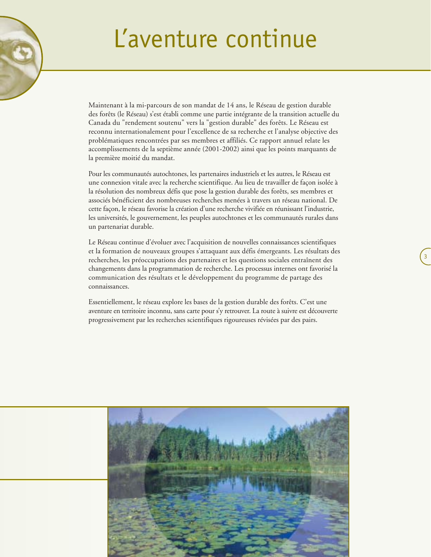# L'aventure continue

Maintenant à la mi-parcours de son mandat de 14 ans, le Réseau de gestion durable des forêts (le Réseau) s'est établi comme une partie intégrante de la transition actuelle du Canada du "rendement soutenu" vers la "gestion durable" des forêts. Le Réseau est reconnu internationalement pour l'excellence de sa recherche et l'analyse objective des problématiques rencontrées par ses membres et affiliés. Ce rapport annuel relate les accomplissements de la septième année (2001-2002) ainsi que les points marquants de la première moitié du mandat.

Pour les communautés autochtones, les partenaires industriels et les autres, le Réseau est une connexion vitale avec la recherche scientifique. Au lieu de travailler de façon isolée à la résolution des nombreux défis que pose la gestion durable des forêts, ses membres et associés bénéficient des nombreuses recherches menées à travers un réseau national. De cette façon, le réseau favorise la création d'une recherche vivifiée en réunissant l'industrie, les universités, le gouvernement, les peuples autochtones et les communautés rurales dans un partenariat durable.

Le Réseau continue d'évoluer avec l'acquisition de nouvelles connaissances scientifiques et la formation de nouveaux groupes s'attaquant aux défis émergeants. Les résultats des recherches, les préoccupations des partenaires et les questions sociales entraînent des changements dans la programmation de recherche. Les processus internes ont favorisé la communication des résultats et le développement du programme de partage des connaissances.

Essentiellement, le réseau explore les bases de la gestion durable des forêts. C'est une aventure en territoire inconnu, sans carte pour s'y retrouver. La route à suivre est découverte progressivement par les recherches scientifiques rigoureuses révisées par des pairs.

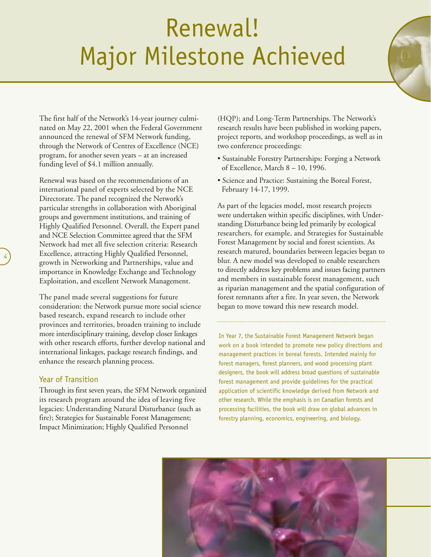# Renewal! Major Milestone Achieved

The first half of the Network's 14-year journey culminated on May 22, 2001 when the Federal Government announced the renewal of SFM Network funding, through the Network of Centres of Excellence (NCE) program, for another seven years – at an increased funding level of \$4.1 million annually.

Renewal was based on the recommendations of an international panel of experts selected by the NCE Directorate. The panel recognized the Network's particular strengths in collaboration with Aboriginal groups and government institutions, and training of Highly Qualified Personnel. Overall, the Expert panel and NCE Selection Committee agreed that the SFM Network had met all five selection criteria: Research Excellence, attracting Highly Qualified Personnel, growth in Networking and Partnerships, value and importance in Knowledge Exchange and Technology Exploitation, and excellent Network Management.

The panel made several suggestions for future consideration: the Network pursue more social science based research, expand research to include other provinces and territories, broaden training to include more interdisciplinary training, develop closer linkages with other research efforts, further develop national and international linkages, package research findings, and enhance the research planning process.

## Year of Transition

Through its first seven years, the SFM Network organized its research program around the idea of leaving five legacies: Understanding Natural Disturbance (such as fire); Strategies for Sustainable Forest Management; Impact Minimization; Highly Qualified Personnel

(HQP); and Long-Term Partnerships. The Network's research results have been published in working papers, project reports, and workshop proceedings, as well as in two conference proceedings:

- Sustainable Forestry Partnerships: Forging a Network of Excellence, March 8 – 10, 1996.
- Science and Practice: Sustaining the Boreal Forest, February 14-17, 1999.

As part of the legacies model, most research projects were undertaken within specific disciplines, with Understanding Disturbance being led primarily by ecological researchers, for example, and Strategies for Sustainable Forest Management by social and forest scientists. As research matured, boundaries between legacies began to blur. A new model was developed to enable researchers to directly address key problems and issues facing partners and members in sustainable forest management, such as riparian management and the spatial configuration of forest remnants after a fire. In year seven, the Network began to move toward this new research model.

In Year 7, the Sustainable Forest Management Network began work on a book intended to promote new policy directions and management practices in boreal forests. Intended mainly for forest managers, forest planners, and wood processing plant designers, the book will address broad questions of sustainable forest management and provide guidelines for the practical application of scientific knowledge derived from Network and other research. While the emphasis is on Canadian forests and processing facilities, the book will draw on global advances in forestry planning, economics, engineering, and biology.

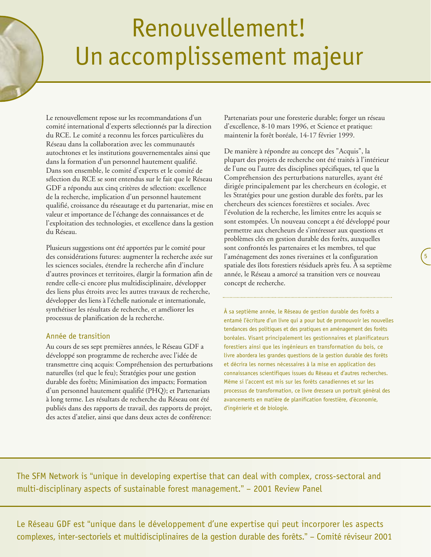# Renouvellement! Un accomplissement majeur

Le renouvellement repose sur les recommandations d'un comité international d'experts sélectionnés par la direction du RCE. Le comité a reconnu les forces particulières du Réseau dans la collaboration avec les communautés autochtones et les institutions gouvernementales ainsi que dans la formation d'un personnel hautement qualifié. Dans son ensemble, le comité d'experts et le comité de sélection du RCE se sont entendus sur le fait que le Réseau GDF a répondu aux cinq critères de sélection: excellence de la recherche, implication d'un personnel hautement qualifié, croissance du réseautage et du partenariat, mise en valeur et importance de l'échange des connaissances et de l'exploitation des technologies, et excellence dans la gestion du Réseau.

Plusieurs suggestions ont été apportées par le comité pour des considérations futures: augmenter la recherche axée sur les sciences sociales, étendre la recherche afin d'inclure d'autres provinces et territoires, élargir la formation afin de rendre celle-ci encore plus multidisciplinaire, développer des liens plus étroits avec les autres travaux de recherche, développer des liens à l'échelle nationale et internationale, synthétiser les résultats de recherche, et améliorer les processus de planification de la recherche.

### Année de transition

Au cours de ses sept premières années, le Réseau GDF a développé son programme de recherche avec l'idée de transmettre cinq acquis: Compréhension des perturbations naturelles (tel que le feu); Stratégies pour une gestion durable des forêts; Minimisation des impacts; Formation d'un personnel hautement qualifié (PHQ); et Partenariats à long terme. Les résultats de recherche du Réseau ont été publiés dans des rapports de travail, des rapports de projet, des actes d'atelier, ainsi que dans deux actes de conférence:

Partenariats pour une foresterie durable; forger un réseau d'excellence, 8-10 mars 1996, et Science et pratique: maintenir la forêt boréale, 14-17 février 1999.

De manière à répondre au concept des "Acquis", la plupart des projets de recherche ont été traités à l'intérieur de l'une ou l'autre des disciplines spécifiques, tel que la Compréhension des perturbations naturelles, ayant été dirigée principalement par les chercheurs en écologie, et les Stratégies pour une gestion durable des forêts, par les chercheurs des sciences forestières et sociales. Avec l'évolution de la recherche, les limites entre les acquis se sont estompées. Un nouveau concept a été développé pour permettre aux chercheurs de s'intéresser aux questions et problèmes clés en gestion durable des forêts, auxquelles sont confrontés les partenaires et les membres, tel que l'aménagement des zones riveraines et la configuration spatiale des îlots forestiers résiduels après feu. À sa septième année, le Réseau a amorcé sa transition vers ce nouveau concept de recherche.

 $\left(5\right)$ 

À sa septième année, le Réseau de gestion durable des forêts a entamé l'écriture d'un livre qui a pour but de promouvoir les nouvelles tendances des politiques et des pratiques en aménagement des forêts boréales. Visant principalement les gestionnaires et planificateurs forestiers ainsi que les ingénieurs en transformation du bois, ce livre abordera les grandes questions de la gestion durable des forêts et décrira les normes nécessaires à la mise en application des connaissances scientifiques issues du Réseau et d'autres recherches. Même si l'accent est mis sur les forêts canadiennes et sur les processus de transformation, ce livre dressera un portrait général des avancements en matière de planification forestière, d'économie, d'ingénierie et de biologie.

The SFM Network is "unique in developing expertise that can deal with complex, cross-sectoral and multi-disciplinary aspects of sustainable forest management." – 2001 Review Panel

Le Réseau GDF est "unique dans le développement d'une expertise qui peut incorporer les aspects complexes, inter-sectoriels et multidisciplinaires de la gestion durable des forêts." – Comité réviseur 2001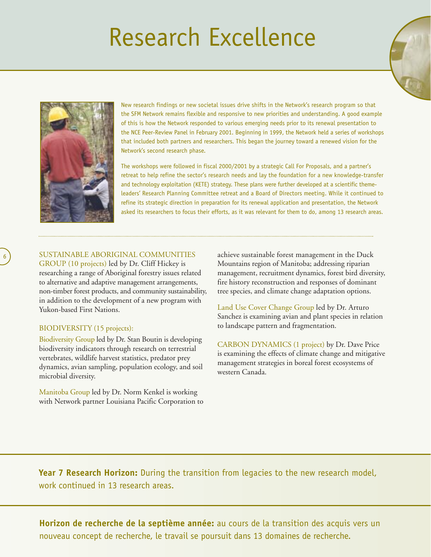# Research Excellence





6

New research findings or new societal issues drive shifts in the Network's research program so that the SFM Network remains flexible and responsive to new priorities and understanding. A good example of this is how the Network responded to various emerging needs prior to its renewal presentation to the NCE Peer-Review Panel in February 2001. Beginning in 1999, the Network held a series of workshops that included both partners and researchers. This began the journey toward a renewed vision for the Network's second research phase.

The workshops were followed in fiscal 2000/2001 by a strategic Call For Proposals, and a partner's retreat to help refine the sector's research needs and lay the foundation for a new knowledge-transfer and technology exploitation (KETE) strategy. These plans were further developed at a scientific themeleaders' Research Planning Committee retreat and a Board of Directors meeting. While it continued to refine its strategic direction in preparation for its renewal application and presentation, the Network asked its researchers to focus their efforts, as it was relevant for them to do, among 13 research areas.

# SUSTAINABLE ABORIGINAL COMMUNITIES

GROUP (10 projects) led by Dr. Cliff Hickey is researching a range of Aboriginal forestry issues related to alternative and adaptive management arrangements, non-timber forest products, and community sustainability, in addition to the development of a new program with Yukon-based First Nations.

### BIODIVERSITY (15 projects):

Biodiversity Group led by Dr. Stan Boutin is developing biodiversity indicators through research on terrestrial vertebrates, wildlife harvest statistics, predator prey dynamics, avian sampling, population ecology, and soil microbial diversity.

Manitoba Group led by Dr. Norm Kenkel is working with Network partner Louisiana Pacific Corporation to achieve sustainable forest management in the Duck Mountains region of Manitoba; addressing riparian management, recruitment dynamics, forest bird diversity, fire history reconstruction and responses of dominant tree species, and climate change adaptation options.

Land Use Cover Change Group led by Dr. Arturo Sanchez is examining avian and plant species in relation to landscape pattern and fragmentation.

CARBON DYNAMICS (1 project) by Dr. Dave Price is examining the effects of climate change and mitigative management strategies in boreal forest ecosystems of western Canada.

**Year 7 Research Horizon:** During the transition from legacies to the new research model, work continued in 13 research areas.

**Horizon de recherche de la septième année:** au cours de la transition des acquis vers un nouveau concept de recherche, le travail se poursuit dans 13 domaines de recherche.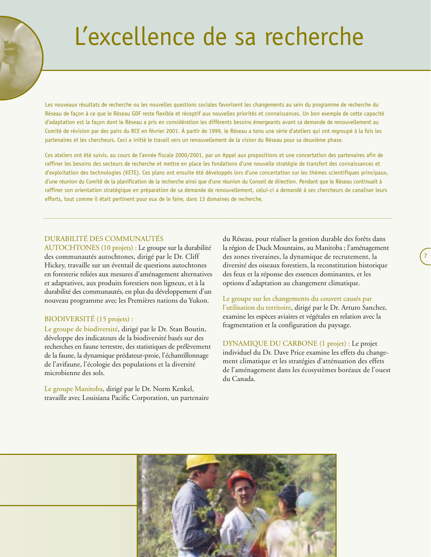# L'excellence de sa recherche

Les nouveaux résultats de recherche ou les nouvelles questions sociales favorisent les changements au sein du programme de recherche du Réseau de façon à ce que le Réseau GDF reste flexible et réceptif aux nouvelles priorités et connaissances. Un bon exemple de cette capacité d'adaptation est la façon dont le Réseau a pris en considération les différents besoins émergeants avant sa demande de renouvellement au Comité de révision par des pairs du RCE en février 2001. À partir de 1999, le Réseau a tenu une série d'ateliers qui ont regroupé à la fois les partenaires et les chercheurs. Ceci a initié le travail vers un renouvellement de la vision du Réseau pour sa deuxième phase.

Ces ateliers ont été suivis, au cours de l'année fiscale 2000/2001, par un Appel aux propositions et une concertation des partenaires afin de raffiner les besoins des secteurs de recherche et mettre en place les fondations d'une nouvelle stratégie de transfert des connaissances et d'exploitation des technologies (KETE). Ces plans ont ensuite été développés lors d'une concertation sur les thèmes scientifiques principaux, d'une réunion du Comité de la planification de la recherche ainsi que d'une réunion du Conseil de direction. Pendant que le Réseau continuait à raffiner son orientation stratégique en préparation de sa demande de renouvellement, celui-ci a demandé à ses chercheurs de canaliser leurs efforts, tout comme il était pertinent pour eux de le faire, dans 13 domaines de recherche.

### DURABILITÉ DES COMMUNAUTÉS

AUTOCHTONES (10 projets) : Le groupe sur la durabilité des communautés autochtones, dirigé par le Dr. Cliff Hickey, travaille sur un éventail de questions autochtones en foresterie reliées aux mesures d'aménagement alternatives et adaptatives, aux produits forestiers non ligneux, et à la durabilité des communautés, en plus du développement d'un nouveau programme avec les Premières nations du Yukon.

### BIODIVERSITÉ (15 projets) :

Le groupe de biodiversité, dirigé par le Dr. Stan Boutin, développe des indicateurs de la biodiversité basés sur des recherches en faune terrestre, des statistiques de prélèvement de la faune, la dynamique prédateur-proie, l'échantillonnage de l'avifaune, l'écologie des populations et la diversité microbienne des sols.

Le groupe Manitoba, dirigé par le Dr. Norm Kenkel, travaille avec Louisiana Pacific Corporation, un partenaire du Réseau, pour réaliser la gestion durable des forêts dans la région de Duck Mountains, au Manitoba ; l'aménagement des zones riveraines, la dynamique de recrutement, la diversité des oiseaux forestiers, la reconstitution historique des feux et la réponse des essences dominantes, et les options d'adaptation au changement climatique.

7

Le groupe sur les changements du couvert causés par l'utilisation du territoire, dirigé par le Dr. Arturo Sanchez, examine les espèces aviaires et végétales en relation avec la fragmentation et la configuration du paysage.

DYNAMIQUE DU CARBONE (1 projet) : Le projet individuel du Dr. Dave Price examine les effets du changement climatique et les stratégies d'atténuation des effets de l'aménagement dans les écosystèmes boréaux de l'ouest du Canada.

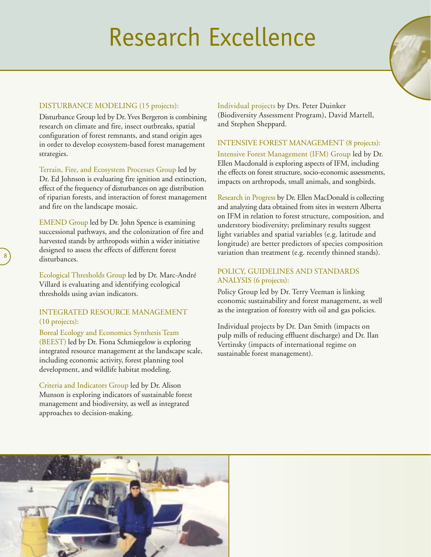# Research Excellence

### DISTURBANCE MODELING (15 projects):

Disturbance Group led by Dr. Yves Bergeron is combining research on climate and fire, insect outbreaks, spatial configuration of forest remnants, and stand origin ages in order to develop ecosystem-based forest management strategies.

Terrain, Fire, and Ecosystem Processes Group led by Dr. Ed Johnson is evaluating fire ignition and extinction, effect of the frequency of disturbances on age distribution of riparian forests, and interaction of forest management and fire on the landscape mosaic.

EMEND Group led by Dr. John Spence is examining successional pathways, and the colonization of fire and harvested stands by arthropods within a wider initiative designed to assess the effects of different forest disturbances.

Ecological Thresholds Group led by Dr. Marc-André Villard is evaluating and identifying ecological thresholds using avian indicators.

## INTEGRATED RESOURCE MANAGEMENT (10 projects):

Boreal Ecology and Economics Synthesis Team (BEEST) led by Dr. Fiona Schmiegelow is exploring integrated resource management at the landscape scale, including economic activity, forest planning tool development, and wildlife habitat modeling.

Criteria and Indicators Group led by Dr. Alison Munson is exploring indicators of sustainable forest management and biodiversity, as well as integrated approaches to decision-making.

Individual projects by Drs. Peter Duinker (Biodiversity Assessment Program), David Martell, and Stephen Sheppard.

# INTENSIVE FOREST MANAGEMENT (8 projects):

Intensive Forest Management (IFM) Group led by Dr. Ellen Macdonald is exploring aspects of IFM, including the effects on forest structure, socio-economic assessments, impacts on arthropods, small animals, and songbirds.

Research in Progress by Dr. Ellen MacDonald is collecting and analyzing data obtained from sites in western Alberta on IFM in relation to forest structure, composition, and understory biodiversity; preliminary results suggest light variables and spatial variables (e.g. latitude and longitude) are better predictors of species composition variation than treatment (e.g. recently thinned stands).

## POLICY, GUIDELINES AND STANDARDS ANALYSIS (6 projects):

Policy Group led by Dr. Terry Veeman is linking economic sustainability and forest management, as well as the integration of forestry with oil and gas policies.

Individual projects by Dr. Dan Smith (impacts on pulp mills of reducing effluent discharge) and Dr. Ilan Vertinsky (impacts of international regime on sustainable forest management).

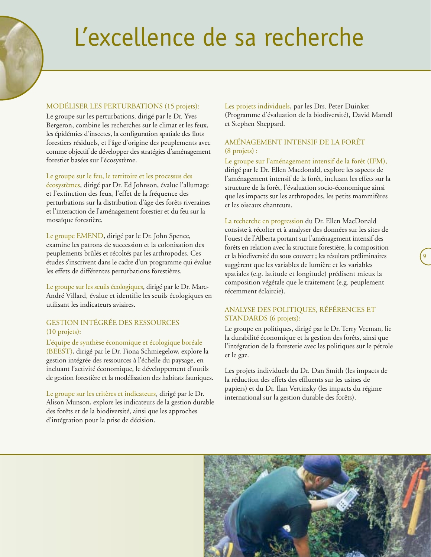# L'excellence de sa recherche

## MODÉLISER LES PERTURBATIONS (15 projets):

Le groupe sur les perturbations, dirigé par le Dr. Yves Bergeron, combine les recherches sur le climat et les feux, les épidémies d'insectes, la configuration spatiale des îlots forestiers résiduels, et l'âge d'origine des peuplements avec comme objectif de développer des stratégies d'aménagement forestier basées sur l'écosystème.

Le groupe sur le feu, le territoire et les processus des

écosystèmes, dirigé par Dr. Ed Johnson, évalue l'allumage et l'extinction des feux, l'effet de la fréquence des perturbations sur la distribution d'âge des forêts riveraines et l'interaction de l'aménagement forestier et du feu sur la mosaïque forestière.

Le groupe EMEND, dirigé par le Dr. John Spence, examine les patrons de succession et la colonisation des peuplements brûlés et récoltés par les arthropodes. Ces études s'inscrivent dans le cadre d'un programme qui évalue les effets de différentes perturbations forestières.

Le groupe sur les seuils écologiques, dirigé par le Dr. Marc-André Villard, évalue et identifie les seuils écologiques en utilisant les indicateurs aviaires.

### GESTION INTÉGRÉE DES RESSOURCES (10 projets):

L'équipe de synthèse économique et écologique boréale (BEEST), dirigé par le Dr. Fiona Schmiegelow, explore la gestion intégrée des ressources à l'échelle du paysage, en incluant l'activité économique, le développement d'outils de gestion forestière et la modélisation des habitats fauniques.

Le groupe sur les critères et indicateurs, dirigé par le Dr. Alison Munson, explore les indicateurs de la gestion durable des forêts et de la biodiversité, ainsi que les approches d'intégration pour la prise de décision.

Les projets individuels, par les Drs. Peter Duinker (Programme d'évaluation de la biodiversité), David Martell et Stephen Sheppard.

## AMÉNAGEMENT INTENSIF DE LA FORÊT (8 projets) :

Le groupe sur l'aménagement intensif de la forêt (IFM), dirigé par le Dr. Ellen Macdonald, explore les aspects de l'aménagement intensif de la forêt, incluant les effets sur la structure de la forêt, l'évaluation socio-économique ainsi que les impacts sur les arthropodes, les petits mammifères et les oiseaux chanteurs.

La recherche en progression du Dr. Ellen MacDonald consiste à récolter et à analyser des données sur les sites de l'ouest de l'Alberta portant sur l'aménagement intensif des forêts en relation avec la structure forestière, la composition et la biodiversité du sous couvert ; les résultats préliminaires suggèrent que les variables de lumière et les variables spatiales (e.g. latitude et longitude) prédisent mieux la composition végétale que le traitement (e.g. peuplement récemment éclaircie).

 $\frac{1}{9}$ 

## ANALYSE DES POLITIQUES, RÉFÉRENCES ET STANDARDS (6 projets):

Le groupe en politiques, dirigé par le Dr. Terry Veeman, lie la durabilité économique et la gestion des forêts, ainsi que l'intégration de la foresterie avec les politiques sur le pétrole et le gaz.

Les projets individuels du Dr. Dan Smith (les impacts de la réduction des effets des effluents sur les usines de papiers) et du Dr. Ilan Vertinsky (les impacts du régime international sur la gestion durable des forêts).

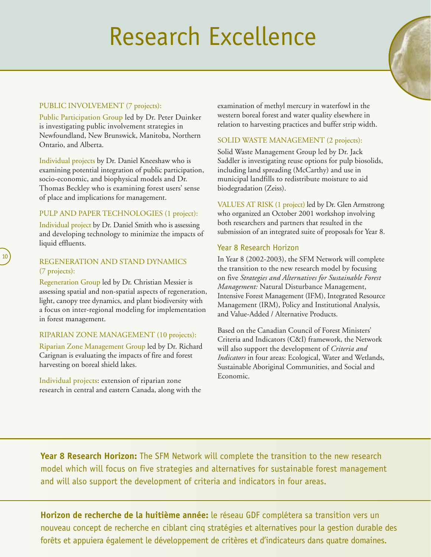# Research Excellence

## PUBLIC INVOLVEMENT (7 projects):

Public Participation Group led by Dr. Peter Duinker is investigating public involvement strategies in Newfoundland, New Brunswick, Manitoba, Northern Ontario, and Alberta.

Individual projects by Dr. Daniel Kneeshaw who is examining potential integration of public participation, socio-economic, and biophysical models and Dr. Thomas Beckley who is examining forest users' sense of place and implications for management.

### PULP AND PAPER TECHNOLOGIES (1 project):

Individual project by Dr. Daniel Smith who is assessing and developing technology to minimize the impacts of liquid effluents.

### REGENERATION AND STAND DYNAMICS (7 projects):

Regeneration Group led by Dr. Christian Messier is assessing spatial and non-spatial aspects of regeneration, light, canopy tree dynamics, and plant biodiversity with a focus on inter-regional modeling for implementation in forest management.

## RIPARIAN ZONE MANAGEMENT (10 projects):

Riparian Zone Management Group led by Dr. Richard Carignan is evaluating the impacts of fire and forest harvesting on boreal shield lakes.

Individual projects: extension of riparian zone research in central and eastern Canada, along with the examination of methyl mercury in waterfowl in the western boreal forest and water quality elsewhere in relation to harvesting practices and buffer strip width.

# SOLID WASTE MANAGEMENT (2 projects):

Solid Waste Management Group led by Dr. Jack Saddler is investigating reuse options for pulp biosolids, including land spreading (McCarthy) and use in municipal landfills to redistribute moisture to aid biodegradation (Zeiss).

VALUES AT RISK (1 project) led by Dr. Glen Armstrong who organized an October 2001 workshop involving both researchers and partners that resulted in the submission of an integrated suite of proposals for Year 8.

# Year 8 Research Horizon

In Year 8 (2002-2003), the SFM Network will complete the transition to the new research model by focusing on five *Strategies and Alternatives for Sustainable Forest Management:* Natural Disturbance Management, Intensive Forest Management (IFM), Integrated Resource Management (IRM), Policy and Institutional Analysis, and Value-Added / Alternative Products.

Based on the Canadian Council of Forest Ministers' Criteria and Indicators (C&I) framework, the Network will also support the development of *Criteria and Indicators* in four areas: Ecological, Water and Wetlands, Sustainable Aboriginal Communities, and Social and Economic.

**Year 8 Research Horizon:** The SFM Network will complete the transition to the new research model which will focus on five strategies and alternatives for sustainable forest management and will also support the development of criteria and indicators in four areas.

**Horizon de recherche de la huitième année:** le réseau GDF complétera sa transition vers un nouveau concept de recherche en ciblant cinq stratégies et alternatives pour la gestion durable des forêts et appuiera également le développement de critères et d'indicateurs dans quatre domaines.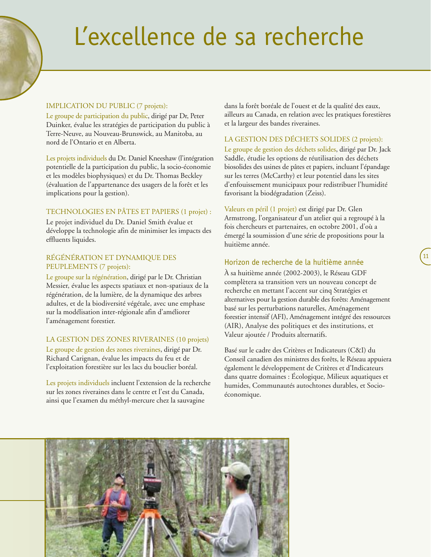# L'excellence de sa recherche

### IMPLICATION DU PUBLIC (7 projets):

Le groupe de participation du public, dirigé par Dr, Peter Duinker, évalue les stratégies de participation du public à Terre-Neuve, au Nouveau-Brunswick, au Manitoba, au nord de l'Ontario et en Alberta.

Les projets individuels du Dr. Daniel Kneeshaw (l'intégration potentielle de la participation du public, la socio-économie et les modèles biophysiques) et du Dr. Thomas Beckley (évaluation de l'appartenance des usagers de la forêt et les implications pour la gestion).

## TECHNOLOGIES EN PÂTES ET PAPIERS (1 projet) :

Le projet individuel du Dr. Daniel Smith évalue et développe la technologie afin de minimiser les impacts des effluents liquides.

### RÉGÉNÉRATION ET DYNAMIQUE DES PEUPLEMENTS (7 projets):

Le groupe sur la régénération, dirigé par le Dr. Christian Messier, évalue les aspects spatiaux et non-spatiaux de la régénération, de la lumière, de la dynamique des arbres adultes, et de la biodiversité végétale, avec une emphase sur la modélisation inter-régionale afin d'améliorer l'aménagement forestier.

### LA GESTION DES ZONES RIVERAINES (10 projets)

Le groupe de gestion des zones riveraines, dirigé par Dr. Richard Carignan, évalue les impacts du feu et de l'exploitation forestière sur les lacs du bouclier boréal.

Les projets individuels incluent l'extension de la recherche sur les zones riveraines dans le centre et l'est du Canada, ainsi que l'examen du méthyl-mercure chez la sauvagine

dans la forêt boréale de l'ouest et de la qualité des eaux, ailleurs au Canada, en relation avec les pratiques forestières et la largeur des bandes riveraines.

# LA GESTION DES DÉCHETS SOLIDES (2 projets):

Le groupe de gestion des déchets solides, dirigé par Dr. Jack Saddle, étudie les options de réutilisation des déchets biosolides des usines de pâtes et papiers, incluant l'épandage sur les terres (McCarthy) et leur potentiel dans les sites d'enfouissement municipaux pour redistribuer l'humidité favorisant la biodégradation (Zeiss).

Valeurs en péril (1 projet) est dirigé par Dr. Glen Armstrong, l'organisateur d'un atelier qui a regroupé à la fois chercheurs et partenaires, en octobre 2001, d'où a émergé la soumission d'une série de propositions pour la huitième année.

# Horizon de recherche de la huitième année

À sa huitième année (2002-2003), le Réseau GDF complètera sa transition vers un nouveau concept de recherche en mettant l'accent sur cinq Stratégies et alternatives pour la gestion durable des forêts: Aménagement basé sur les perturbations naturelles, Aménagement forestier intensif (AFI), Aménagement intégré des ressources (AIR), Analyse des politiques et des institutions, et Valeur ajoutée / Produits alternatifs.

Basé sur le cadre des Critères et Indicateurs (C&I) du Conseil canadien des ministres des forêts, le Réseau appuiera également le développement de Critères et d'Indicateurs dans quatre domaines : Écologique, Milieux aquatiques et humides, Communautés autochtones durables, et Socioéconomique.

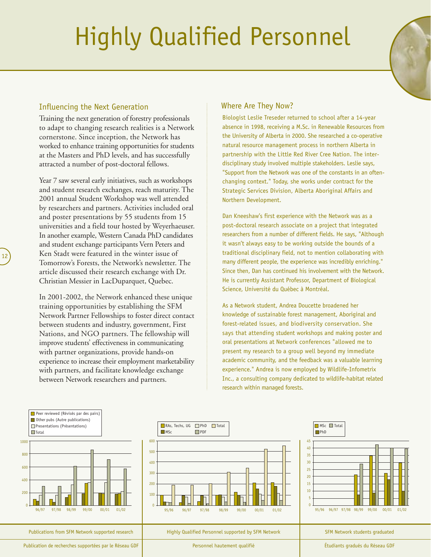# Highly Qualified Personnel

# Influencing the Next Generation Next Research Where Are They Now?

Training the next generation of forestry professionals to adapt to changing research realities is a Network cornerstone. Since inception, the Network has worked to enhance training opportunities for students at the Masters and PhD levels, and has successfully attracted a number of post-doctoral fellows.

Year 7 saw several early initiatives, such as workshops and student research exchanges, reach maturity. The 2001 annual Student Workshop was well attended by researchers and partners. Activities included oral and poster presentations by 55 students from 15 universities and a field tour hosted by Weyerhaeuser. In another example, Western Canada PhD candidates and student exchange participants Vern Peters and Ken Stadt were featured in the winter issue of Tomorrow's Forests, the Network's newsletter. The article discussed their research exchange with Dr. Christian Messier in LacDuparquet, Quebec.

In 2001-2002, the Network enhanced these unique training opportunities by establishing the SFM Network Partner Fellowships to foster direct contact between students and industry, government, First Nations, and NGO partners. The fellowship will improve students' effectiveness in communicating with partner organizations, provide hands-on experience to increase their employment marketability with partners, and facilitate knowledge exchange between Network researchers and partners.

Biologist Leslie Treseder returned to school after a 14-year absence in 1998, receiving a M.Sc. in Renewable Resources from the University of Alberta in 2000. She researched a co-operative natural resource management process in northern Alberta in partnership with the Little Red River Cree Nation. The interdisciplinary study involved multiple stakeholders. Leslie says, "Support from the Network was one of the constants in an oftenchanging context." Today, she works under contract for the Strategic Services Division, Alberta Aboriginal Affairs and Northern Development.

Dan Kneeshaw's first experience with the Network was as a post-doctoral research associate on a project that integrated researchers from a number of different fields. He says, "Although it wasn't always easy to be working outside the bounds of a traditional disciplinary field, not to mention collaborating with many different people, the experience was incredibly enriching." Since then, Dan has continued his involvement with the Network. He is currently Assistant Professor, Department of Biological Science, Université du Québec à Montréal.

As a Network student, Andrea Doucette broadened her knowledge of sustainable forest management, Aboriginal and forest-related issues, and biodiversity conservation. She says that attending student workshops and making poster and oral presentations at Network conferences "allowed me to present my research to a group well beyond my immediate academic community, and the feedback was a valuable learning experience." Andrea is now employed by Wildlife-Infometrix Inc., a consulting company dedicated to wildlife-habitat related research within managed forests.

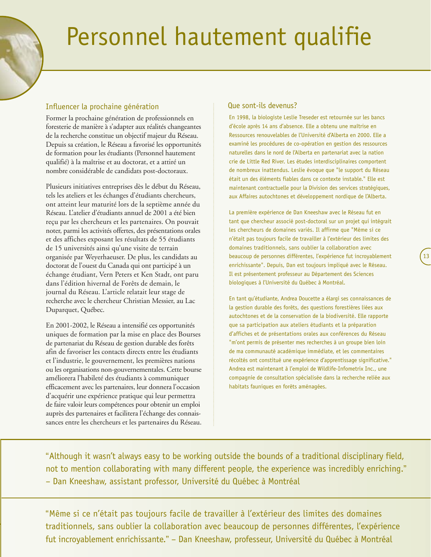# Personnel hautement qualifie

# Influencer la prochaine génération **que sont-ils devenus?** Que sont-ils devenus?

Former la prochaine génération de professionnels en foresterie de manière à s'adapter aux réalités changeantes de la recherche constitue un objectif majeur du Réseau. Depuis sa création, le Réseau a favorisé les opportunités de formation pour les étudiants (Personnel hautement qualifié) à la maîtrise et au doctorat, et a attiré un nombre considérable de candidats post-doctoraux.

Plusieurs initiatives entreprises dès le début du Réseau, tels les ateliers et les échanges d'étudiants chercheurs, ont atteint leur maturité lors de la septième année du Réseau. L'atelier d'étudiants annuel de 2001 a été bien reçu par les chercheurs et les partenaires. On pouvait noter, parmi les activités offertes, des présentations orales et des affiches exposant les résultats de 55 étudiants de 15 universités ainsi qu'une visite de terrain organisée par Weyerhaeuser. De plus, les candidats au doctorat de l'ouest du Canada qui ont participé à un échange étudiant, Vern Peters et Ken Stadt, ont paru dans l'édition hivernal de Forêts de demain, le journal du Réseau. L'article relatait leur stage de recherche avec le chercheur Christian Messier, au Lac Duparquet, Québec.

En 2001-2002, le Réseau a intensifié ces opportunités uniques de formation par la mise en place des Bourses de partenariat du Réseau de gestion durable des forêts afin de favoriser les contacts directs entre les étudiants et l'industrie, le gouvernement, les premières nations ou les organisations non-gouvernementales. Cette bourse améliorera l'habileté des étudiants à communiquer efficacement avec les partenaires, leur donnera l'occasion d'acquérir une expérience pratique qui leur permettra de faire valoir leurs compétences pour obtenir un emploi auprès des partenaires et facilitera l'échange des connaissances entre les chercheurs et les partenaires du Réseau.

En 1998, la biologiste Leslie Treseder est retournée sur les bancs d'école après 14 ans d'absence. Elle a obtenu une maîtrise en Ressources renouvelables de l'Université d'Alberta en 2000. Elle a examiné les procédures de co-opération en gestion des ressources naturelles dans le nord de l'Alberta en partenariat avec la nation crie de Little Red River. Les études interdisciplinaires comportent de nombreux inattendus. Leslie évoque que "le support du Réseau était un des éléments fiables dans ce contexte instable." Elle est maintenant contractuelle pour la Division des services stratégiques, aux Affaires autochtones et développement nordique de l'Alberta.

La première expérience de Dan Kneeshaw avec le Réseau fut en tant que chercheur associé post-doctoral sur un projet qui intégrait les chercheurs de domaines variés. Il affirme que "Même si ce n'était pas toujours facile de travailler à l'extérieur des limites des domaines traditionnels, sans oublier la collaboration avec beaucoup de personnes différentes, l'expérience fut incroyablement enrichissante". Depuis, Dan est toujours impliqué avec le Réseau. Il est présentement professeur au Département des Sciences biologiques à l'Université du Québec à Montréal.

 $\binom{13}{13}$ 

En tant qu'étudiante, Andrea Doucette a élargi ses connaissances de la gestion durable des forêts, des questions forestières liées aux autochtones et de la conservation de la biodiversité. Elle rapporte que sa participation aux ateliers étudiants et la préparation d'affiches et de présentations orales aux conférences du Réseau "m'ont permis de présenter mes recherches à un groupe bien loin de ma communauté académique immédiate, et les commentaires récoltés ont constitué une expérience d'apprentissage significative." Andrea est maintenant à l'emploi de Wildlife-Infometrix Inc., une compagnie de consultation spécialisée dans la recherche reliée aux habitats fauniques en forêts aménagées.

"Although it wasn't always easy to be working outside the bounds of a traditional disciplinary field, not to mention collaborating with many different people, the experience was incredibly enriching." – Dan Kneeshaw, assistant professor, Université du Québec à Montréal

"Même si ce n'était pas toujours facile de travailler à l'extérieur des limites des domaines traditionnels, sans oublier la collaboration avec beaucoup de personnes différentes, l'expérience fut incroyablement enrichissante." – Dan Kneeshaw, professeur, Université du Québec à Montréal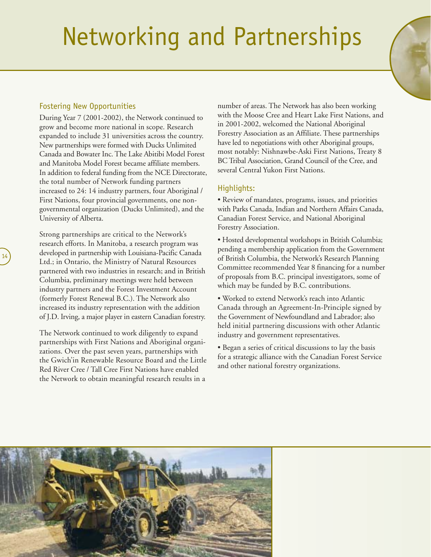# Networking and Partnerships

## Fostering New Opportunities

During Year 7 (2001-2002), the Network continued to grow and become more national in scope. Research expanded to include 31 universities across the country. New partnerships were formed with Ducks Unlimited Canada and Bowater Inc. The Lake Abitibi Model Forest and Manitoba Model Forest became affiliate members. In addition to federal funding from the NCE Directorate, the total number of Network funding partners increased to 24: 14 industry partners, four Aboriginal / First Nations, four provincial governments, one nongovernmental organization (Ducks Unlimited), and the University of Alberta.

Strong partnerships are critical to the Network's research efforts. In Manitoba, a research program was developed in partnership with Louisiana-Pacific Canada Ltd.; in Ontario, the Ministry of Natural Resources partnered with two industries in research; and in British Columbia, preliminary meetings were held between industry partners and the Forest Investment Account (formerly Forest Renewal B.C.). The Network also increased its industry representation with the addition of J.D. Irving, a major player in eastern Canadian forestry.

The Network continued to work diligently to expand partnerships with First Nations and Aboriginal organizations. Over the past seven years, partnerships with the Gwich'in Renewable Resource Board and the Little Red River Cree / Tall Cree First Nations have enabled the Network to obtain meaningful research results in a

number of areas. The Network has also been working with the Moose Cree and Heart Lake First Nations, and in 2001-2002, welcomed the National Aboriginal Forestry Association as an Affiliate. These partnerships have led to negotiations with other Aboriginal groups, most notably: Nishnawbe-Aski First Nations, Treaty 8 BC Tribal Association, Grand Council of the Cree, and several Central Yukon First Nations.

# Highlights:

• Review of mandates, programs, issues, and priorities with Parks Canada, Indian and Northern Affairs Canada, Canadian Forest Service, and National Aboriginal Forestry Association.

• Hosted developmental workshops in British Columbia; pending a membership application from the Government of British Columbia, the Network's Research Planning Committee recommended Year 8 financing for a number of proposals from B.C. principal investigators, some of which may be funded by B.C. contributions.

• Worked to extend Network's reach into Atlantic Canada through an Agreement-In-Principle signed by the Government of Newfoundland and Labrador; also held initial partnering discussions with other Atlantic industry and government representatives.

• Began a series of critical discussions to lay the basis for a strategic alliance with the Canadian Forest Service and other national forestry organizations.

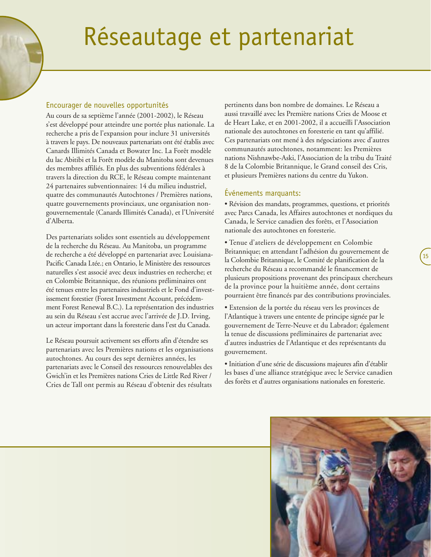# Réseautage et partenariat

## Encourager de nouvelles opportunités

Au cours de sa septième l'année (2001-2002), le Réseau s'est développé pour atteindre une portée plus nationale. La recherche a pris de l'expansion pour inclure 31 universités à travers le pays. De nouveaux partenariats ont été établis avec Canards Illimités Canada et Bowater Inc. La Forêt modèle du lac Abitibi et la Forêt modèle du Manitoba sont devenues des membres affiliés. En plus des subventions fédérales à travers la direction du RCE, le Réseau compte maintenant 24 partenaires subventionnaires: 14 du milieu industriel, quatre des communautés Autochtones / Premières nations, quatre gouvernements provinciaux, une organisation nongouvernementale (Canards Illimités Canada), et l'Université d'Alberta.

Des partenariats solides sont essentiels au développement de la recherche du Réseau. Au Manitoba, un programme de recherche a été développé en partenariat avec Louisiana-Pacific Canada Ltée.; en Ontario, le Ministère des ressources naturelles s'est associé avec deux industries en recherche; et en Colombie Britannique, des réunions préliminaires ont été tenues entre les partenaires industriels et le Fond d'investissement forestier (Forest Investment Account, précédemment Forest Renewal B.C.). La représentation des industries au sein du Réseau s'est accrue avec l'arrivée de J.D. Irving, un acteur important dans la foresterie dans l'est du Canada.

Le Réseau poursuit activement ses efforts afin d'étendre ses partenariats avec les Premières nations et les organisations autochtones. Au cours des sept dernières années, les partenariats avec le Conseil des ressources renouvelables des Gwich'in et les Premières nations Cries de Little Red River / Cries de Tall ont permis au Réseau d'obtenir des résultats

pertinents dans bon nombre de domaines. Le Réseau a aussi travaillé avec les Première nations Cries de Moose et de Heart Lake, et en 2001-2002, il a accueilli l'Association nationale des autochtones en foresterie en tant qu'affilié. Ces partenariats ont mené à des négociations avec d'autres communautés autochtones, notamment: les Premières nations Nishnawbe-Aski, l'Association de la tribu du Traité 8 de la Colombie Britannique, le Grand conseil des Cris, et plusieurs Premières nations du centre du Yukon.

# Événements marquants:

• Révision des mandats, programmes, questions, et priorités avec Parcs Canada, les Affaires autochtones et nordiques du Canada, le Service canadien des forêts, et l'Association nationale des autochtones en foresterie.

• Tenue d'ateliers de développement en Colombie Britannique; en attendant l'adhésion du gouvernement de la Colombie Britannique, le Comité de planification de la recherche du Réseau a recommandé le financement de plusieurs propositions provenant des principaux chercheurs de la province pour la huitième année, dont certains pourraient être financés par des contributions provinciales.

 $\overline{15}$ 

- Extension de la portée du réseau vers les provinces de l'Atlantique à travers une entente de principe signée par le gouvernement de Terre-Neuve et du Labrador; également la tenue de discussions préliminaires de partenariat avec d'autres industries de l'Atlantique et des représentants du gouvernement.
- Initiation d'une série de discussions majeures afin d'établir les bases d'une alliance stratégique avec le Service canadien des forêts et d'autres organisations nationales en foresterie.

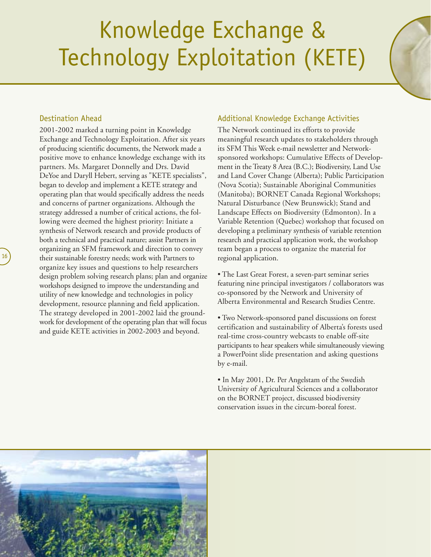# Knowledge Exchange & Technology Exploitation (KETE)

### Destination Ahead

2001-2002 marked a turning point in Knowledge Exchange and Technology Exploitation. After six years of producing scientific documents, the Network made a positive move to enhance knowledge exchange with its partners. Ms. Margaret Donnelly and Drs. David DeYoe and Daryll Hebert, serving as "KETE specialists", began to develop and implement a KETE strategy and operating plan that would specifically address the needs and concerns of partner organizations. Although the strategy addressed a number of critical actions, the following were deemed the highest priority: Initiate a synthesis of Network research and provide products of both a technical and practical nature; assist Partners in organizing an SFM framework and direction to convey their sustainable forestry needs; work with Partners to organize key issues and questions to help researchers design problem solving research plans; plan and organize workshops designed to improve the understanding and utility of new knowledge and technologies in policy development, resource planning and field application. The strategy developed in 2001-2002 laid the groundwork for development of the operating plan that will focus and guide KETE activities in 2002-2003 and beyond.

## Additional Knowledge Exchange Activities

The Network continued its efforts to provide meaningful research updates to stakeholders through its SFM This Week e-mail newsletter and Networksponsored workshops: Cumulative Effects of Development in the Treaty 8 Area (B.C.); Biodiversity, Land Use and Land Cover Change (Alberta); Public Participation (Nova Scotia); Sustainable Aboriginal Communities (Manitoba); BORNET Canada Regional Workshops; Natural Disturbance (New Brunswick); Stand and Landscape Effects on Biodiversity (Edmonton). In a Variable Retention (Quebec) workshop that focused on developing a preliminary synthesis of variable retention research and practical application work, the workshop team began a process to organize the material for regional application.

• The Last Great Forest, a seven-part seminar series featuring nine principal investigators / collaborators was co-sponsored by the Network and University of Alberta Environmental and Research Studies Centre.

• Two Network-sponsored panel discussions on forest certification and sustainability of Alberta's forests used real-time cross-country webcasts to enable off-site participants to hear speakers while simultaneously viewing a PowerPoint slide presentation and asking questions by e-mail.

• In May 2001, Dr. Per Angelstam of the Swedish University of Agricultural Sciences and a collaborator on the BORNET project, discussed biodiversity conservation issues in the circum-boreal forest.

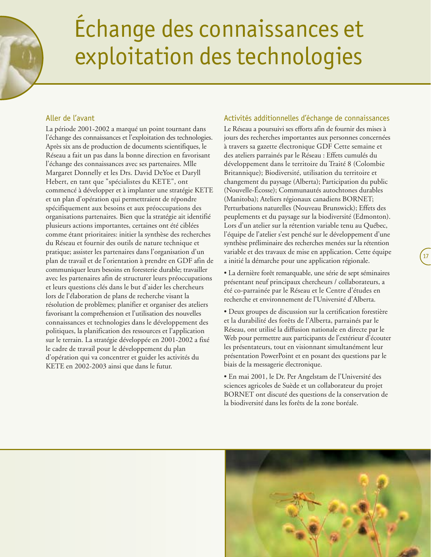# Échange des connaissances et exploitation des technologies

# Aller de l'avant

La période 2001-2002 a marqué un point tournant dans l'échange des connaissances et l'exploitation des technologies. Après six ans de production de documents scientifiques, le Réseau a fait un pas dans la bonne direction en favorisant l'échange des connaissances avec ses partenaires. Mlle Margaret Donnelly et les Drs. David DeYoe et Daryll Hebert, en tant que "spécialistes du KETE", ont commencé à développer et à implanter une stratégie KETE et un plan d'opération qui permettraient de répondre spécifiquement aux besoins et aux préoccupations des organisations partenaires. Bien que la stratégie ait identifié plusieurs actions importantes, certaines ont été ciblées comme étant prioritaires: initier la synthèse des recherches du Réseau et fournir des outils de nature technique et pratique; assister les partenaires dans l'organisation d'un plan de travail et de l'orientation à prendre en GDF afin de communiquer leurs besoins en foresterie durable; travailler avec les partenaires afin de structurer leurs préoccupations et leurs questions clés dans le but d'aider les chercheurs lors de l'élaboration de plans de recherche visant la résolution de problèmes; planifier et organiser des ateliers favorisant la compréhension et l'utilisation des nouvelles connaissances et technologies dans le développement des politiques, la planification des ressources et l'application sur le terrain. La stratégie développée en 2001-2002 a fixé le cadre de travail pour le développement du plan d'opération qui va concentrer et guider les activités du KETE en 2002-2003 ainsi que dans le futur.

### Activités additionnelles d'échange de connaissances

Le Réseau a poursuivi ses efforts afin de fournir des mises à jours des recherches importantes aux personnes concernées à travers sa gazette électronique GDF Cette semaine et des ateliers parrainés par le Réseau : Effets cumulés du développement dans le territoire du Traité 8 (Colombie Britannique); Biodiversité, utilisation du territoire et changement du paysage (Alberta); Participation du public (Nouvelle-Écosse); Communautés autochtones durables (Manitoba); Ateliers régionaux canadiens BORNET; Perturbations naturelles (Nouveau Brunswick); Effets des peuplements et du paysage sur la biodiversité (Edmonton). Lors d'un atelier sur la rétention variable tenu au Québec, l'équipe de l'atelier s'est penché sur le développement d'une synthèse préliminaire des recherches menées sur la rétention variable et des travaux de mise en application. Cette équipe a initié la démarche pour une application régionale.

• La dernière forêt remarquable, une série de sept séminaires présentant neuf principaux chercheurs / collaborateurs, a été co-parrainée par le Réseau et le Centre d'études en recherche et environnement de l'Université d'Alberta.

 $\binom{17}{17}$ 

• Deux groupes de discussion sur la certification forestière et la durabilité des forêts de l'Alberta, parrainés par le Réseau, ont utilisé la diffusion nationale en directe par le Web pour permettre aux participants de l'extérieur d'écouter les présentateurs, tout en visionnant simultanément leur présentation PowerPoint et en posant des questions par le biais de la messagerie électronique.

• En mai 2001, le Dr. Per Angelstam de l'Université des sciences agricoles de Suède et un collaborateur du projet BORNET ont discuté des questions de la conservation de la biodiversité dans les forêts de la zone boréale.

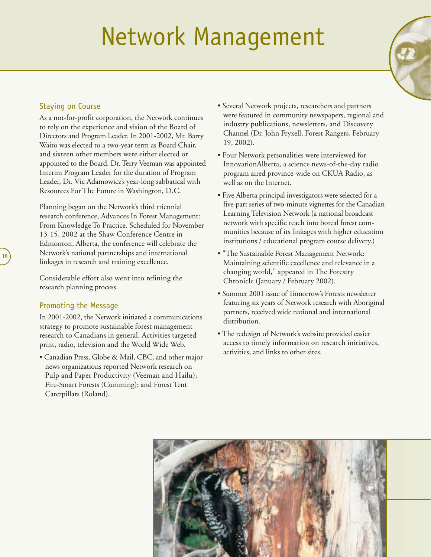# Network Management



# Staying on Course

As a not-for-profit corporation, the Network continues to rely on the experience and vision of the Board of Directors and Program Leader. In 2001-2002, Mr. Barry Waito was elected to a two-year term as Board Chair, and sixteen other members were either elected or appointed to the Board. Dr. Terry Veeman was appointed Interim Program Leader for the duration of Program Leader, Dr. Vic Adamowicz's year-long sabbatical with Resources For The Future in Washington, D.C.

Planning began on the Network's third triennial research conference, Advances In Forest Management: From Knowledge To Practice. Scheduled for November 13-15, 2002 at the Shaw Conference Centre in Edmonton, Alberta, the conference will celebrate the Network's national partnerships and international linkages in research and training excellence.

Considerable effort also went into refining the research planning process.

# Promoting the Message

In 2001-2002, the Network initiated a communications strategy to promote sustainable forest management research to Canadians in general. Activities targeted print, radio, television and the World Wide Web.

• Canadian Press, Globe & Mail, CBC, and other major news organizations reported Network research on Pulp and Paper Productivity (Veeman and Hailu); Fire-Smart Forests (Cumming); and Forest Tent Caterpillars (Roland).

- Several Network projects, researchers and partners were featured in community newspapers, regional and industry publications, newsletters, and Discovery Channel (Dr. John Fryxell, Forest Rangers, February 19, 2002).
- Four Network personalities were interviewed for InnovationAlberta, a science news-of-the-day radio program aired province-wide on CKUA Radio, as well as on the Internet.
- Five Alberta principal investigators were selected for a five-part series of two-minute vignettes for the Canadian Learning Television Network (a national broadcast network with specific reach into boreal forest communities because of its linkages with higher education institutions / educational program course delivery.)
- "The Sustainable Forest Management Network: Maintaining scientific excellence and relevance in a changing world," appeared in The Forestry Chronicle (January / February 2002).
- Summer 2001 issue of Tomorrow's Forests newsletter featuring six years of Network research with Aboriginal partners, received wide national and international distribution.
- The redesign of Network's website provided easier access to timely information on research initiatives, activities, and links to other sites.

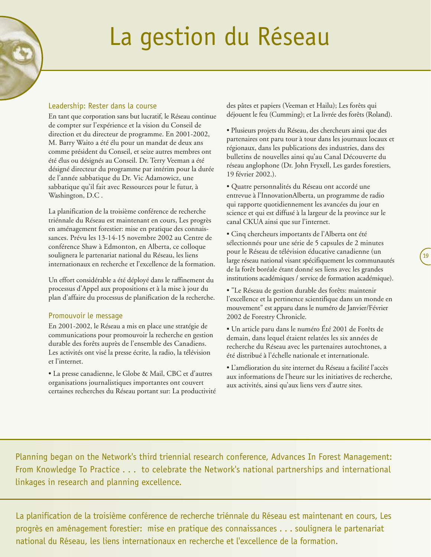# La gestion du Réseau

## Leadership: Rester dans la course

En tant que corporation sans but lucratif, le Réseau continue de compter sur l'expérience et la vision du Conseil de direction et du directeur de programme. En 2001-2002, M. Barry Waito a été élu pour un mandat de deux ans comme président du Conseil, et seize autres membres ont été élus ou désignés au Conseil. Dr. Terry Veeman a été désigné directeur du programme par intérim pour la durée de l'année sabbatique du Dr. Vic Adamowicz, une sabbatique qu'il fait avec Ressources pour le futur, à Washington, D.C .

La planification de la troisième conférence de recherche triénnale du Réseau est maintenant en cours, Les progrès en aménagement forestier: mise en pratique des connaissances. Prévu les 13-14-15 novembre 2002 au Centre de conférence Shaw à Edmonton, en Alberta, ce colloque soulignera le partenariat national du Réseau, les liens internationaux en recherche et l'excellence de la formation.

Un effort considérable a été déployé dans le raffinement du processus d'Appel aux propositions et à la mise à jour du plan d'affaire du processus de planification de la recherche.

## Promouvoir le message

En 2001-2002, le Réseau a mis en place une stratégie de communications pour promouvoir la recherche en gestion durable des forêts auprès de l'ensemble des Canadiens. Les activités ont visé la presse écrite, la radio, la télévision et l'internet.

• La presse canadienne, le Globe & Mail, CBC et d'autres organisations journalistiques importantes ont couvert certaines recherches du Réseau portant sur: La productivité des pâtes et papiers (Veeman et Hailu); Les forêts qui déjouent le feu (Cumming); et La livrée des forêts (Roland).

• Plusieurs projets du Réseau, des chercheurs ainsi que des partenaires ont paru tour à tour dans les journaux locaux et régionaux, dans les publications des industries, dans des bulletins de nouvelles ainsi qu'au Canal Découverte du réseau anglophone (Dr. John Fryxell, Les gardes forestiers, 19 février 2002.).

• Quatre personnalités du Réseau ont accordé une entrevue à l'InnovationAlberta, un programme de radio qui rapporte quotidiennement les avancées du jour en science et qui est diffusé à la largeur de la province sur le canal CKUA ainsi que sur l'internet.

• Cinq chercheurs importants de l'Alberta ont été sélectionnés pour une série de 5 capsules de 2 minutes pour le Réseau de télévision éducative canadienne (un large réseau national visant spécifiquement les communautés de la forêt boréale étant donné ses liens avec les grandes institutions académiques / service de formation académique).

• "Le Réseau de gestion durable des forêts: maintenir l'excellence et la pertinence scientifique dans un monde en mouvement" est apparu dans le numéro de Janvier/Février 2002 de Forestry Chronicle.

• Un article paru dans le numéro Été 2001 de Forêts de demain, dans lequel étaient relatées les six années de recherche du Réseau avec les partenaires autochtones, a été distribué à l'échelle nationale et internationale.

• L'amélioration du site internet du Réseau a facilité l'accès aux informations de l'heure sur les initiatives de recherche, aux activités, ainsi qu'aux liens vers d'autre sites.

Planning began on the Network's third triennial research conference, Advances In Forest Management: From Knowledge To Practice . . . to celebrate the Network's national partnerships and international linkages in research and planning excellence.

La planification de la troisième conférence de recherche triénnale du Réseau est maintenant en cours, Les progrès en aménagement forestier: mise en pratique des connaissances . . . soulignera le partenariat national du Réseau, les liens internationaux en recherche et l'excellence de la formation.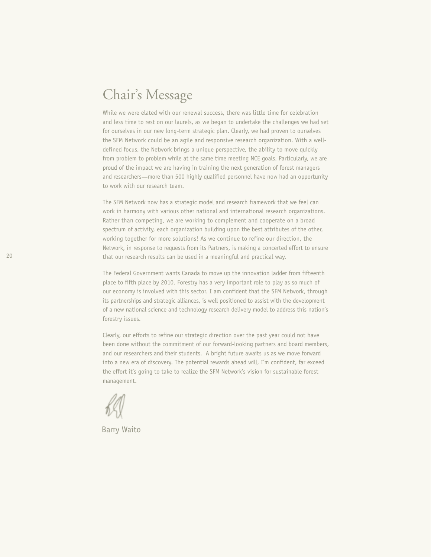# Chair's Message

While we were elated with our renewal success, there was little time for celebration and less time to rest on our laurels, as we began to undertake the challenges we had set for ourselves in our new long-term strategic plan. Clearly, we had proven to ourselves the SFM Network could be an agile and responsive research organization. With a welldefined focus, the Network brings a unique perspective, the ability to move quickly from problem to problem while at the same time meeting NCE goals. Particularly, we are proud of the impact we are having in training the next generation of forest managers and researchers—more than 500 highly qualified personnel have now had an opportunity to work with our research team.

The SFM Network now has a strategic model and research framework that we feel can work in harmony with various other national and international research organizations. Rather than competing, we are working to complement and cooperate on a broad spectrum of activity, each organization building upon the best attributes of the other, working together for more solutions! As we continue to refine our direction, the Network, in response to requests from its Partners, is making a concerted effort to ensure that our research results can be used in a meaningful and practical way.

The Federal Government wants Canada to move up the innovation ladder from fifteenth place to fifth place by 2010. Forestry has a very important role to play as so much of our economy is involved with this sector. I am confident that the SFM Network, through its partnerships and strategic alliances, is well positioned to assist with the development of a new national science and technology research delivery model to address this nation's forestry issues.

Clearly, our efforts to refine our strategic direction over the past year could not have been done without the commitment of our forward-looking partners and board members, and our researchers and their students. A bright future awaits us as we move forward into a new era of discovery. The potential rewards ahead will, I'm confident, far exceed the effort it's going to take to realize the SFM Network's vision for sustainable forest management.

Barry Waito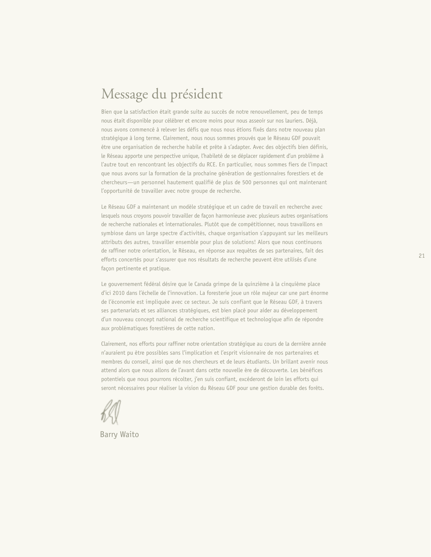# Message du président

Bien que la satisfaction était grande suite au succès de notre renouvellement, peu de temps nous était disponible pour célébrer et encore moins pour nous asseoir sur nos lauriers. Déjà, nous avons commencé à relever les défis que nous nous étions fixés dans notre nouveau plan stratégique à long terme. Clairement, nous nous sommes prouvés que le Réseau GDF pouvait être une organisation de recherche habile et prête à s'adapter. Avec des objectifs bien définis, le Réseau apporte une perspective unique, l'habileté de se déplacer rapidement d'un problème à l'autre tout en rencontrant les objectifs du RCE. En particulier, nous sommes fiers de l'impact que nous avons sur la formation de la prochaine génération de gestionnaires forestiers et de chercheurs—un personnel hautement qualifié de plus de 500 personnes qui ont maintenant l'opportunité de travailler avec notre groupe de recherche.

Le Réseau GDF a maintenant un modèle stratégique et un cadre de travail en recherche avec lesquels nous croyons pouvoir travailler de façon harmonieuse avec plusieurs autres organisations de recherche nationales et internationales. Plutôt que de compétitionner, nous travaillons en symbiose dans un large spectre d'activités, chaque organisation s'appuyant sur les meilleurs attributs des autres, travailler ensemble pour plus de solutions! Alors que nous continuons de raffiner notre orientation, le Réseau, en réponse aux requêtes de ses partenaires, fait des efforts concertés pour s'assurer que nos résultats de recherche peuvent être utilisés d'une façon pertinente et pratique.

Le gouvernement fédéral désire que le Canada grimpe de la quinzième à la cinquième place d'ici 2010 dans l'échelle de l'innovation. La foresterie joue un rôle majeur car une part énorme de l'économie est impliquée avec ce secteur. Je suis confiant que le Réseau GDF, à travers ses partenariats et ses alliances stratégiques, est bien placé pour aider au développement d'un nouveau concept national de recherche scientifique et technologique afin de répondre aux problématiques forestières de cette nation.

Clairement, nos efforts pour raffiner notre orientation stratégique au cours de la dernière année n'auraient pu être possibles sans l'implication et l'esprit visionnaire de nos partenaires et membres du conseil, ainsi que de nos chercheurs et de leurs étudiants. Un brillant avenir nous attend alors que nous allons de l'avant dans cette nouvelle ère de découverte. Les bénéfices potentiels que nous pourrons récolter, j'en suis confiant, excéderont de loin les efforts qui seront nécessaires pour réaliser la vision du Réseau GDF pour une gestion durable des forêts.

Barry Waito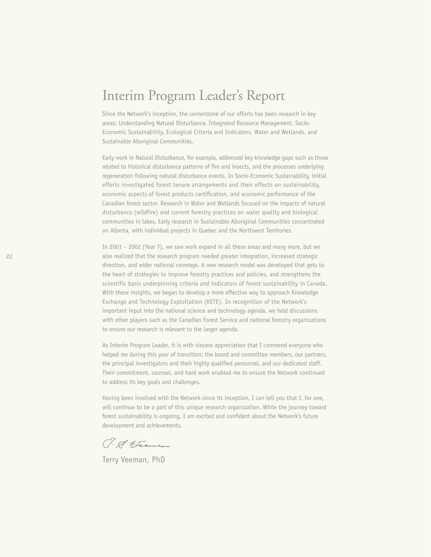# Interim Program Leader's Report

Since the Network's inception, the cornerstone of our efforts has been research in key areas: Understanding Natural Disturbance, Integrated Resource Management, Socio-Economic Sustainability, Ecological Criteria and Indicators, Water and Wetlands, and Sustainable Aboriginal Communities.

Early work in Natural Disturbance, for example, addressed key knowledge gaps such as those related to historical disturbance patterns of fire and insects, and the processes underlying regeneration following natural disturbance events. In Socio-Economic Sustainability, initial efforts investigated forest tenure arrangements and their effects on sustainability, economic aspects of forest products certification, and economic performance of the Canadian forest sector. Research in Water and Wetlands focused on the impacts of natural disturbance (wildfire) and current forestry practices on water quality and biological communities in lakes. Early research in Sustainable Aboriginal Communities concentrated on Alberta, with individual projects in Quebec and the Northwest Territories.

In 2001 – 2002 (Year 7), we saw work expand in all these areas and many more, but we also realized that the research program needed greater integration, increased strategic direction, and wider national coverage. A new research model was developed that gets to the heart of strategies to improve forestry practices and policies, and strengthens the scientific basis underpinning criteria and indicators of forest sustainability in Canada. With these insights, we began to develop a more effective way to approach Knowledge Exchange and Technology Exploitation (KETE). In recognition of the Network's important input into the national science and technology agenda, we held discussions with other players such as the Canadian Forest Service and national forestry organizations to ensure our research is relevant to the larger agenda.

As Interim Program Leader, it is with sincere appreciation that I commend everyone who helped me during this year of transition: the board and committee members, our partners, the principal investigators and their highly qualified personnel, and our dedicated staff. Their commitment, counsel, and hard work enabled me to ensure the Network continued to address its key goals and challenges.

Having been involved with the Network since its inception, I can tell you that I, for one, will continue to be a part of this unique research organization. While the journey toward forest sustainability is ongoing, I am excited and confident about the Network's future development and achievements.

J. S. Feeman

Terry Veeman, PhD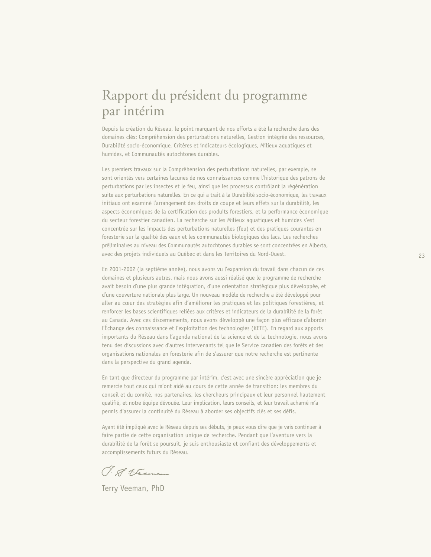# Rapport du président du programme par intérim

Depuis la création du Réseau, le point marquant de nos efforts a été la recherche dans des domaines clés: Compréhension des perturbations naturelles, Gestion intégrée des ressources, Durabilité socio-économique, Critères et indicateurs écologiques, Milieux aquatiques et humides, et Communautés autochtones durables.

Les premiers travaux sur la Compréhension des perturbations naturelles, par exemple, se sont orientés vers certaines lacunes de nos connaissances comme l'historique des patrons de perturbations par les insectes et le feu, ainsi que les processus contrôlant la régénération suite aux perturbations naturelles. En ce qui a trait à la Durabilité socio-économique, les travaux initiaux ont examiné l'arrangement des droits de coupe et leurs effets sur la durabilité, les aspects économiques de la certification des produits forestiers, et la performance économique du secteur forestier canadien. La recherche sur les Milieux aquatiques et humides s'est concentrée sur les impacts des perturbations naturelles (feu) et des pratiques courantes en foresterie sur la qualité des eaux et les communautés biologiques des lacs. Les recherches préliminaires au niveau des Communautés autochtones durables se sont concentrées en Alberta, avec des projets individuels au Québec et dans les Territoires du Nord-Ouest.

En 2001-2002 (la septième année), nous avons vu l'expansion du travail dans chacun de ces domaines et plusieurs autres, mais nous avons aussi réalisé que le programme de recherche avait besoin d'une plus grande intégration, d'une orientation stratégique plus développée, et d'une couverture nationale plus large. Un nouveau modèle de recherche a été développé pour aller au cœur des stratégies afin d'améliorer les pratiques et les politiques forestières, et renforcer les bases scientifiques reliées aux critères et indicateurs de la durabilité de la forêt au Canada. Avec ces discernements, nous avons développé une façon plus efficace d'aborder l'Échange des connaissance et l'exploitation des technologies (KETE). En regard aux apports importants du Réseau dans l'agenda national de la science et de la technologie, nous avons tenu des discussions avec d'autres intervenants tel que le Service canadien des forêts et des organisations nationales en foresterie afin de s'assurer que notre recherche est pertinente dans la perspective du grand agenda.

En tant que directeur du programme par intérim, c'est avec une sincère appréciation que je remercie tout ceux qui m'ont aidé au cours de cette année de transition: les membres du conseil et du comité, nos partenaires, les chercheurs principaux et leur personnel hautement qualifié, et notre équipe dévouée. Leur implication, leurs conseils, et leur travail acharné m'a permis d'assurer la continuité du Réseau à aborder ses objectifs clés et ses défis.

Ayant été impliqué avec le Réseau depuis ses débuts, je peux vous dire que je vais continuer à faire partie de cette organisation unique de recherche. Pendant que l'aventure vers la durabilité de la forêt se poursuit, je suis enthousiaste et confiant des développements et accomplissements futurs du Réseau.

O. S. Freeman

Terry Veeman, PhD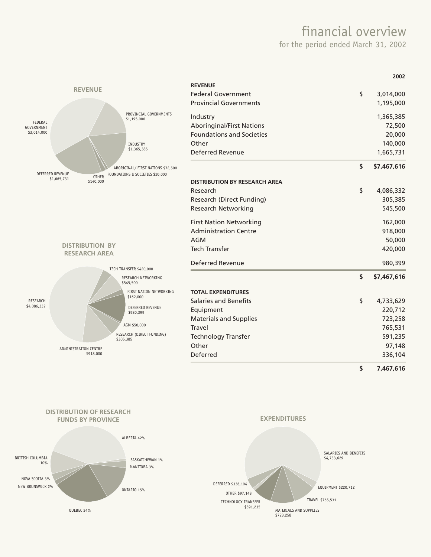# financial overview

for the period ended March 31, 2002

SALARIES AND BENEFITS \$4,733,629

EQUIPMENT \$220,712



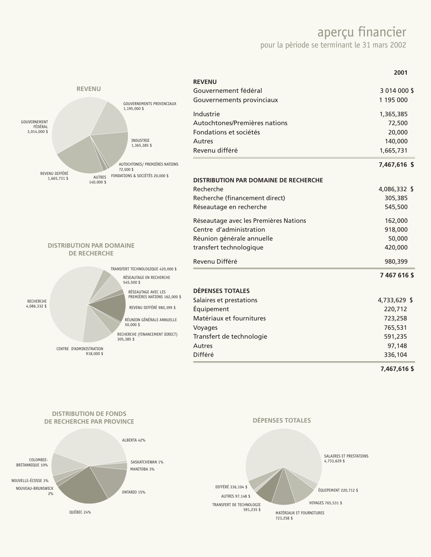# aperçu financier

pour la période se terminant le 31 mars 2002



|                                              | 2001         |
|----------------------------------------------|--------------|
| <b>REVENU</b><br>Gouvernement fédéral        | 3 014 000 \$ |
| Gouvernements provinciaux                    | 1 195 000    |
|                                              |              |
| Industrie                                    | 1,365,385    |
| Autochtones/Premières nations                | 72,500       |
| Fondations et sociétés                       | 20,000       |
| Autres                                       | 140,000      |
| Revenu différé                               | 1,665,731    |
|                                              | 7,467,616 \$ |
| <b>DISTRIBUTION PAR DOMAINE DE RECHERCHE</b> |              |
| Recherche                                    | 4,086,332 \$ |
| Recherche (financement direct)               | 305,385      |
| Réseautage en recherche                      | 545,500      |
| Réseautage avec les Premières Nations        | 162,000      |
| Centre d'administration                      | 918,000      |
| Réunion générale annuelle                    | 50,000       |
| transfert technologique                      | 420,000      |
| Revenu Différé                               | 980,399      |
|                                              | 7467616\$    |
| <b>DÉPENSES TOTALES</b>                      |              |
| Salaires et prestations                      | 4,733,629 \$ |
| Équipement                                   | 220,712      |
| Matériaux et fournitures                     | 723,258      |
| Voyages                                      | 765,531      |
| Transfert de technologie                     | 591,235      |
| <b>Autres</b>                                | 97,148       |
| Différé                                      | 336,104      |
|                                              | 7,467,616 \$ |

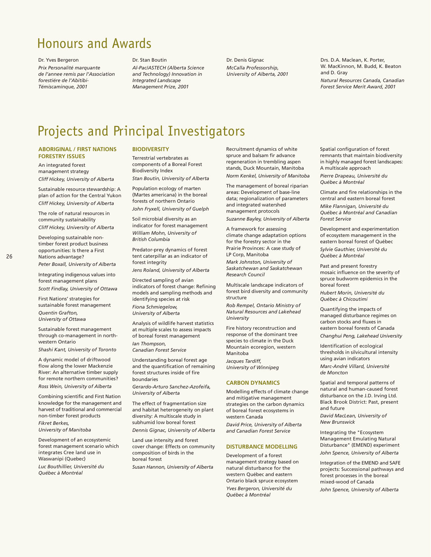# Honours and Awards

Dr. Yves Bergeron *Prix Personalité marquante de l'annee remis par l'Association forestiére de l'Abitibi-Témiscaminque, 2001*

#### Dr. Stan Boutin

*Al-Pac/ASTECH (Alberta Science and Technology) Innovation in Integrated Landscape Management Prize, 2001*

Dr. Denis Gignac *McCalla Professorship, University of Alberta, 2001* Drs. D.A. Maclean, K. Porter, W. MacKinnon, M. Budd, K. Beaton and D. Gray *Natural Resources Canada, Canadian Forest Service Merit Award, 2001*

# Projects and Principal Investigators

#### **ABORIGINAL / FIRST NATIONS FORESTRY ISSUES**

An integrated forest management strategy *Cliff Hickey, University of Alberta*

Sustainable resource stewardship: A plan of action for the Central Yukon *Cliff Hickey, University of Alberta*

The role of natural resources in community sustainability *Cliff Hickey, University of Alberta*

Developing sustainable nontimber forest product business opportunities: Is there a First Nations advantage?

*Peter Boxall, University of Alberta*

Integrating indigenous values into forest management plans *Scott Findlay, University of Ottawa*

First Nations' strategies for sustainable forest management *Quentin Grafton, University of Ottawa*

Sustainable forest management through co-management in northwestern Ontario

*Shashi Kant, University of Toronto*

A dynamic model of driftwood flow along the lower Mackenzie River: An alternative timber supply for remote northern communities? *Ross Wein, University of Alberta*

Combining scientific and First Nation knowledge for the management and harvest of traditional and commercial non-timber forest products

*Fikret Berkes, University of Manitoba*

Development of an ecosystemic forest management scenario which integrates Cree land use in Waswanipi (Quebec) *Luc Bouthillier, Université du Québec à Montréal*

### **BIODIVERSITY**

Terrestrial vertebrates as components of a Boreal Forest Biodiversity Index *Stan Boutin, University of Alberta*

Population ecology of marten (Martes americana) in the boreal forests of northern Ontario

*John Fryxell, University of Guelph*

Soil microbial diversity as an indicator for forest management *William Mohn, University of British Columbia*

Predator-prey dynamics of forest tent caterpillar as an indicator of forest integrity

*Jens Roland, University of Alberta*

Directed sampling of avian indicators of forest change: Refining models and sampling methods and identifying species at risk *Fiona Schmiegelow, University of Alberta*

Analysis of wildlife harvest statistics at multiple scales to assess impacts of boreal forest management *Ian Thompson,* 

*Canadian Forest Service*

Understanding boreal forest age and the quantification of remaining forest structures inside of fire boundaries

*Gerardo-Arturo Sanchez-Azofeifa, University of Alberta*

The effect of fragmentation size and habitat heterogeneity on plant diversity: A multiscale study in subhumid low boreal forest *Dennis Gignac, University of Alberta*

Land use intensity and forest cover change: Effects on community composition of birds in the boreal forest

*Susan Hannon, University of Alberta*

Recruitment dynamics of white spruce and balsam fir advance regeneration in trembling aspen stands, Duck Mountain, Manitoba *Norm Kenkel, University of Manitoba*

The management of boreal riparian areas: Development of base-line data; regionalization of parameters and integrated watershed management protocols

*Suzanne Bayley, University of Alberta*

A framework for assessing climate change adaptation options for the forestry sector in the Prairie Provinces: A case study of LP Corp, Manitoba

*Mark Johnston, University of Saskatchewan and Saskatchewan Research Council*

Multiscale landscape indicators of forest bird diversity and community structure

*Rob Rempel, Ontario Ministry of Natural Resources and Lakehead University*

Fire history reconstruction and response of the dominant tree species to climate in the Duck Mountain ecoregion, western Manitoba *Jacques Tardiff, University of Winnipeg*

#### **CARBON DYNAMICS**

Modelling effects of climate change and mitigative management strategies on the carbon dynamics of boreal forest ecosystems in western Canada *David Price, University of Alberta and Canadian Forest Service*

#### **DISTURBANCE MODELLING**

Development of a forest management strategy based on natural disturbance for the western Québec and eastern Ontario black spruce ecosystem *Yves Bergeron, Université du Québec à Montréal*

Spatial configuration of forest remnants that maintain biodiversity in highly managed forest landscapes: A multiscale approach

*Pierre Drapeau, Université du Québec à Montréal*

Climate and fire relationships in the central and eastern boreal forest

*Mike Flannigan, Université du Québec à Montréal and Canadian Forest Service*

Development and experimentation of ecosystem management in the eastern boreal forest of Québec *Sylvie Gauthier, Université du Québec à Montréal*

Past and present forestry mosaic influence on the severity of spruce budworm epidemics in the boreal forest *Hubert Morin, Université du* 

*Québec à Chicoutimi*

Quantifying the impacts of managed disturbance regimes on carbon stocks and fluxes in eastern boreal forests of Canada *Changhui Peng, Lakehead University*

Identification of ecological thresholds in silvicultural intensity using avian indicators

*Marc-André Villard, Université de Moncton*

Spatial and temporal patterns of natural and human-caused forest disturbance on the J.D. Irving Ltd. Black Brook District: Past, present and future

*David MacLean, University of New Brunswick*

Integrating the "Ecosystem Management Emulating Natural Disturbance" (EMEND) experiment *John Spence, University of Alberta*

Integration of the EMEND and SAFE projects: Successional pathways and forest processes in the boreal mixed-wood of Canada

*John Spence, University of Alberta*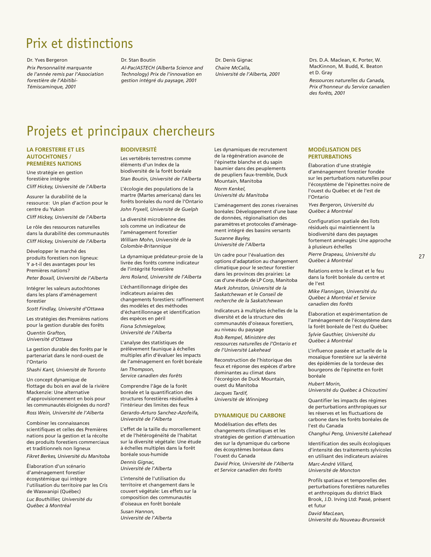# Prix et distinctions

Dr. Yves Bergeron

*Prix Personnalité marquante de l'année remis par l'Association forestière de l'Abitibi-Témiscaminque, 2001*

#### Dr. Stan Boutin

*Al-Pac/ASTECH (Alberta Science and Technology) Prix de l'innovation en gestion intégré du paysage, 2001*

Dr. Denis Gignac *Chaire McCalla, Université de l'Alberta, 2001*

Drs. D.A. Maclean, K. Porter, W. MacKinnon, M. Budd, K. Beaton et D. Gray *Ressources naturelles du Canada,*

*Prix d'honneur du Service canadien des forêts, 2001*

# Projets et principaux chercheurs

#### **LA FORESTERIE ET LES AUTOCHTONES / PREMIÈRES NATIONS**

Une stratégie en gestion forestière intégrée *Cliff Hickey, Université de l'Alberta*

Assurer la durabilité de la ressource: Un plan d'action pour le centre du Yukon

*Cliff Hickey, Université de l'Alberta*

Le rôle des ressources naturelles dans la durabilité des communautés *Cliff Hickey, Université de l'Alberta*

Développer le marché des produits forestiers non ligneux: .<br>Y a-t-il des avantages pour les Premières nations?

*Peter Boxall, Université de l'Alberta*

Intégrer les valeurs autochtones dans les plans d'aménagement forestier

*Scott Findlay, Université d'Ottawa*

Les stratégies des Premières nations pour la gestion durable des forêts *Quentin Grafton, Université d'Ottawa*

La gestion durable des forêts par le partenariat dans le nord-ouest de l'Ontario

*Shashi Kant, Université de Toronto* Un concept dynamique de

flottage du bois en aval de la rivière Mackenzie: Une alternative d'approvisionnement en bois pour les communautés éloignées du nord? *Ross Wein, Université de l'Alberta*

Combiner les connaissances scientifiques et celles des Premières nations pour la gestion et la récolte des produits forestiers commerciaux et traditionnels non ligneux

*Fikret Berkes, Université du Manitoba*

Élaboration d'un scénario d'aménagement forestier écosystémique qui intègre l'utilisation du territoire par les Cris de Waswanipi (Québec)

*Luc Bouthillier, Université du Québec à Montréal*

### **BIODIVERSITÉ**

Les vertébrés terrestres comme éléments d'un Index de la biodiversité de la forêt boréale *Stan Boutin, Université de l'Alberta*

L'écologie des populations de la martre (Martes americana) dans les forêts boréales du nord de l'Ontario *John Fryxell, Université de Guelph*

La diversité microbienne des sols comme un indicateur de l'aménagement forestier *William Mohn, Université de la Colombie-Britannique*

La dynamique prédateur-proie de la livrée des forêts comme indicateur de l'intégrité forestière *Jens Roland, Université de l'Alberta*

L'échantillonnage dirigée des indicateurs aviaires des changements forestiers: raffinement des modèles et des méthodes d'échantillonnage et identification des espèces en péril *Fiona Schmiegelow, Université de l'Alberta*

L'analyse des statistiques de prélèvement faunique à échelles multiples afin d'évaluer les impacts de l'aménagement en forêt boréale *Ian Thompson,* 

*Service canadien des forêts*

Comprendre l'âge de la forêt boréale et la quantification des structures forestières résiduelles à l'intérieur des limites des feux *Gerardo-Arturo Sanchez-Azofeifa, Université de l'Alberta*

L'effet de la taille du morcellement et de l'hétérogénéité de l'habitat sur la diversité végétale: Une étude à échelles multiples dans la forêt boréale sous-humide

*Dennis Gignac, Université de l'Alberta*

L'intensité de l'utilisation du territoire et changement dans le couvert végétale: Les effets sur la composition des communautés d'oiseaux en forêt boréale *Susan Hannon, Université de l'Alberta*

Les dynamiques de recrutement de la régénération avancée de l'épinette blanche et du sapin baumier dans des peuplements de peupliers faux-tremble, Duck Mountain, Manitoba *Norm Kenkel, Université du Manitoba*

L'aménagement des zones riveraines boréales: Développement d'une base de données, régionalisation des paramètres et protocoles d'aménagement intégré des bassins versants *Suzanne Bayley, Université de l'Alberta*

Un cadre pour l'évaluation des options d'adaptation au changement climatique pour le secteur forestier dans les provinces des prairies: Le cas d'une étude de LP Corp, Manitoba *Mark Johnston, Université de la Saskatchewan et le Conseil de recherche de la Saskatchewan* 

Indicateurs à multiples échelles de la diversité et de la structure des communautés d'oiseaux forestiers, au niveau du paysage *Rob Rempel, Ministère des ressources naturelles de l'Ontario et de l'Université Lakehead*

Reconstruction de l'historique des feux et réponse des espèces d'arbre dominantes au climat dans l'écorégion de Duck Mountain, ouest du Manitoba *Jacques Tardif, Université de Winnipeg*

#### **DYNAMIQUE DU CARBONE**

Modélisation des effets des changements climatiques et les stratégies de gestion d'atténuation des sur la dynamique du carbone des écosystèmes boréaux dans l'ouest du Canada *David Price, Université de l'Alberta et Service canadien des forêts*

#### **MODÉLISATION DES PERTURBATIONS**

Élaboration d'une stratégie d'aménagement forestier fondée sur les perturbations naturelles pour l'écosystème de l'épinettes noire de l'ouest du Québec et de l'est de l'Ontario

*Yves Bergeron, Université du Québec à Montréal*

Configuration spatiale des îlots résiduels qui maintiennent la biodiversité dans des paysages fortement aménagés: Une approche à plusieurs échelles

*Pierre Drapeau, Université du Québec à Montréal*

Relations entre le climat et le feu dans la forêt boréale du centre et de l'est

*Mike Flannigan, Université du Québec à Montréal et Service canadien des forêts*

Élaboration et expérimentation de l'aménagement de l'écosystème dans la forêt boréale de l'est du Québec *Sylvie Gauthier, Université du Québec à Montréal*

L'influence passée et actuelle de la mosaïque forestière sur la sévérité des épidémies de la tordeuse des bourgeons de l'épinette en forêt boréale *Hubert Morin,* 

*Université du Québec à Chicoutimi*

Quantifier les impacts des régimes de perturbations anthropiques sur les réserves et les fluctuations de carbone dans les forêts boréales de l'est du Canada

*Changhui Peng, Université Lakehead*

Identification des seuils écologiques d'intensité des traitements sylvicoles en utilisant des indicateurs aviaires *Marc-André Villard,* 

*Université de Moncton*

Profils spatiaux et temporelles des perturbations forestières naturelles et anthropiques du district Black Brook, J.D. Irving Ltd: Passé, présent et futur

*David MacLean, Université du Nouveau-Brunswick*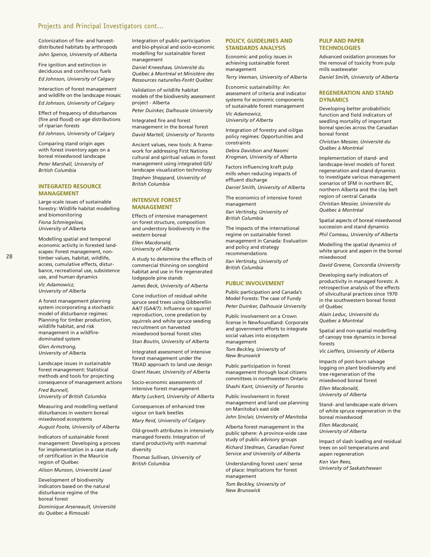#### Projects and Principal Investigators cont...

Colonization of fire- and harvestdistributed habitats by arthropods *John Spence, University of Alberta*

Fire ignition and extinction in deciduous and coniferous fuels *Ed Johnson, University of Calgary*

Interaction of forest management and wildlife on the landscape mosaic *Ed Johnson, University of Calgary*

Effect of frequency of disturbances (fire and flood) on age distributions of riparian forests

*Ed Johnson, University of Calgary*

Comparing stand origin ages with forest inventory ages on a boreal mixedwood landscape *Peter Marshall, University of British Columbia*

#### **INTEGRATED RESOURCE MANAGEMENT**

Large-scale issues of sustainable forestry: Wildlife habitat modelling and biomonitoring *Fiona Schmiegelow,* 

*University of Alberta*

Modelling spatial and temporal economic activity in forested landscapes: Forest management, nontimber values, habitat, wildlife, access, cumulative effects, disturbance, recreational use, subsistence use, and human dynamics

*Vic Adamowicz, University of Alberta*

A forest management planning system incorporating a stochastic model of disturbance regimes: Planning for timber production, wildlife habitat, and risk management in a wildfiredominated system

*Glen Armstrong, University of Alberta*

Landscape issues in sustainable forest management: Statistical methods and tools for projecting consequence of management actions *Fred Bunnell,* 

*University of British Columbia*

Measuring and modelling wetland disturbances in western boreal mixedwood ecosystems

*August Foote, University of Alberta*

Indicators of sustainable forest management: Developing a process for implementation in a case study of certification in the Mauricie region of Québec

*Alison Munson, Université Laval*

Development of biodiversity indicators based on the natural disturbance regime of the boreal forest *Dominique Arseneault, Université du Québec à Rimouski*

Integration of public participation and bio-physical and socio-economic modelling for sustainable forest management

*Daniel Kneeshaw, Université du Québec à Montréal et Ministère des Ressources naturelles-Forêt Québec* 

Validation of wildlife habitat models of the biodiversity assessment project - Alberta

*Peter Duinker, Dalhousie University*

Integrated fire and forest management in the boreal forest *David Martell, University of Toronto*

Ancient values, new tools: A framework for addressing First Nations cultural and spiritual values in forest management using integrated GIS/ landscape visualization technology *Stephen Sheppard, University of British Columbia*

#### **INTENSIVE FOREST MANAGEMENT**

Effects of intensive management on forest structure, composition and understory biodiversity in the western boreal *Ellen Macdonald, University of Alberta*

A study to determine the effects of commercial thinning on songbird habitat and use in fire regenerated lodgepole pine stands

*James Beck, University of Alberta*

Cone induction of residual white spruce seed trees using Gibberellin A4/7 (GA4/7): Influence on squirrel reproduction, cone predation by squirrels and white spruce seeding recruitment on harvested mixedwood boreal forest sites *Stan Boutin, University of Alberta*

Integrated assessment of intensive forest management under the TRIAD approach to land use design *Grant Hauer, University of Alberta*

Socio-economic assessments of intensive forest management *Marty Luckert, University of Alberta*

Consequences of enhanced tree

vigour on bark beetles *Mary Reid, University of Calgary*

Old-growth attributes in intensively managed forests: Integration of stand productivity with mammal diversity *Thomas Sullivan, University of*

*British Columbia*

#### **POLICY, GUIDELINES AND STANDARDS ANALYSIS**

Economic and policy issues in achieving sustainable forest management

*Terry Veeman, University of Alberta*

Economic sustainability: An assessment of criteria and indicator systems for economic components of sustainable forest management *Vic Adamowicz,* 

*University of Alberta*

Integration of forestry and oil/gas policy regimes: Opportunities and constraints *Debra Davidson and Naomi*

*Krogman, University of Alberta*

Factors influencing kraft pulp mills when reducing impacts of effluent discharge

*Daniel Smith, University of Alberta*

The economics of intensive forest management

*Ilan Vertinsky, University of British Columbia*

The impacts of the international regime on sustainable forest management in Canada: Evaluation and policy and strategy recommendations

*Ilan Vertinsky, University of British Columbia*

#### **PUBLIC INVOLVEMENT**

Public participation and Canada's Model Forests: The case of Fundy *Peter Duinker, Dalhousie University*

Public involvement on a Crown license in Newfoundland: Corporate and government efforts to integrate social values into ecosystem management *Tom Beckley, University of New Brunswick*

Public participation in forest management through local citizens committees in northwestern Ontario *Shashi Kant, University of Toronto*

Public involvement in forest management and land use planning on Manitoba's east side

*John Sinclair, University of Manitoba*

Alberta forest management in the public sphere: A province-wide case study of public advisory groups *Richard Stedman, Canadian Forest Service and University of Alberta*

Understanding forest users' sense of place: Implications for forest management *Tom Beckley, University of* 

*New Brunswick*

#### **PULP AND PAPER TECHNOLOGIES**

Advanced oxidation processes for the removal of toxicity from pulp mills wastewater

*Daniel Smith, University of Alberta*

#### **REGENERATION AND STAND DYNAMICS**

Developing better probabilistic function and field indicators of seedling mortality of important boreal species across the Canadian boreal forest

*Christian Messier, Université du Québec à Montréal*

Implementation of stand- and landscape-level models of forest regeneration and stand dynamics to investigate various management scenarios of SFM in northern BC, northern Alberta and the clay belt region of central Canada

*Christian Messier, Université du Québec à Montréal*

Spatial aspects of boreal mixedwood succession and stand dynamics

*Phil Comeau, University of Alberta*

Modelling the spatial dynamics of white spruce and aspen in the boreal mixedwood

*David Greene, Concordia University*

Developing early indicators of productivity in managed forests: A retrospective analysis of the effects of silvicultural practices since 1970 in the southwestern boreal forest of Québec

*Alain Leduc, Université du Québec à Montréal*

Spatial and non-spatial modelling of canopy tree dynamics in boreal forests

*Vic Lieffers, University of Alberta*

Impacts of post-burn salvage logging on plant biodiversity and tree regeneration of the mixedwood boreal forest *Ellen Macdonald,* 

*University of Alberta*

Stand- and landscape-scale drivers of white spruce regeneration in the boreal mixedwood

*Ellen Macdonald, University of Alberta*

Impact of slash loading and residual trees on soil temperatures and aspen regeneration *Ken Van Rees,* 

*University of Saskatchewan*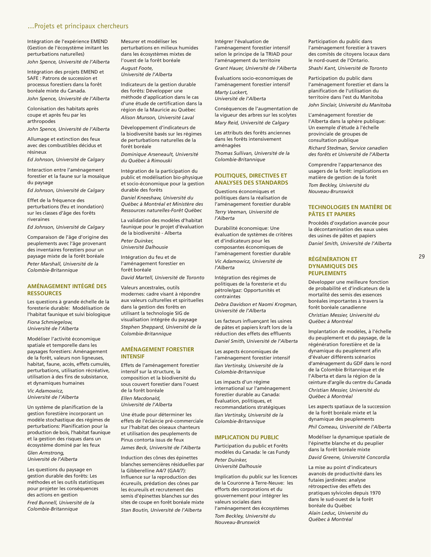### ...Projets et principaux chercheurs

Intégration de l'expérience EMEND (Gestion de l'écosystème imitant les perturbations naturelles)

*John Spence, Université de l'Alberta*

Intégration des projets EMEND et SAFE : Patrons de succession et processus forestiers dans la forêt boréale mixte du Canada. *John Spence, Université de l'Alberta*

Colonisation des habitats après coupe et après feu par les arthropodes

*John Spence, Université de l'Alberta*

Allumage et extinction des feux avec des combustibles décidus et résineux

*Ed Johnson, Université de Calgary* Interaction entre l'aménagement

forestier et la faune sur la mosaïque du paysage

*Ed Johnson, Université de Calgary*

Effet de la fréquence des perturbations (feu et inondation) sur les classes d'âge des forêts riveraines

*Ed Johnson, Université de Calgary*

Comparaison de l'âge d'origine des peuplements avec l'âge provenant des inventaires forestiers pour un paysage mixte de la forêt boréale *Peter Marshall, Université de la Colombie-Britannique*

#### **AMÉNAGEMENT INTÉGRÉ DES RESSOURCES**

Les questions à grande échelle de la foresterie durable: Modélisation de l'habitat faunique et suivi biologique *Fiona Schmiegelow, Université de l'Alberta*

Modéliser l'activité économique spatiale et temporelle dans les paysages forestiers: Aménagement de la forêt, valeurs non ligneuses, habitat, faune, accès, effets cumulés, perturbations, utilisation récréative, utilisation à des fins de subsistance, et dynamiques humaines *Vic Adamowicz, Université de l'Alberta*

Un système de planification de la gestion forestière incorporant un modèle stochastique des régimes de perturbations: Planification pour la production de bois, l'habitat faunique et la gestion des risques dans un écosystème dominé par les feux *Glen Armstrong, Université de l'Alberta*

Les questions du paysage en gestion durable des forêts: Les méthodes et les outils statistiques pour projeter les conséquences des actions en gestion *Fred Bunnell, Université de la*

*Colombie-Britannique*

Mesurer et modéliser les perturbations en milieux humides dans les écosystèmes mixtes de l'ouest de la forêt boréale *August Foote,* 

*Université de l'Alberta*

Indicateurs de la gestion durable des forêts: Développer une méthode d'application dans le cas d'une étude de certification dans la région de la Mauricie au Québec *Alison Munson, Université Laval*

Développement d'indicateurs de la biodiversité basés sur les régimes de perturbations naturelles de la forêt boréale *Dominique Arseneault, Université*

*du Québec à Rimouski*

Intégration de la participation du public et modélisation bio-physique et socio-économique pour la gestion durable des forêts

*Daniel Kneeshaw, Université du Québec à Montréal et Ministère des Ressources naturelles-Forêt Québec* 

La validation des modèles d'habitat faunique pour le projet d'évaluation de la biodiversité - Alberta

*Peter Duinker, Université Dalhousie* 

Intégration du feu et de l'aménagement forestier en forêt boréale

*David Martell, Université de Toronto*

Valeurs ancestrales, outils modernes: cadre visant à répondre aux valeurs culturelles et spirituelles dans la gestion des forêts en utilisant la technologie SIG de visualisation intégrée du paysage *Stephen Sheppard, Université de la Colombie-Britannique*

#### **AMÉNAGEMENT FORESTIER INTENSIF**

Effets de l'aménagement forestier intensif sur la structure, la composition et la biodiversité du sous couvert forestier dans l'ouest de la forêt boréale *Ellen Macdonald, Université de l'Alberta*

Une étude pour déterminer les effets de l'éclaircie pré-commerciale sur l'habitat des oiseaux chanteurs et utilisation des peuplements de Pinus contorta issus de feux *James Beck, Université de l'Alberta*

Induction des cônes des épinettes blanches semencières résiduelles par la Gibberelline A4/7 (GA4/7): Influence sur la reproduction des écureuils, prédation des cônes par les écureuils et recrutement des semis d'épinettes blanches sur des sites de coupe en forêt boréale mixte *Stan Boutin, Université de l'Alberta*

Intégrer l'évaluation de l'aménagement forestier intensif selon le principe de la TRIAD pour l'aménagement du territoire *Grant Hauer, Université de l'Alberta*

Évaluations socio-economiques de

l'aménagement forestier intensif *Marty Luckert, Université de l'Alberta*

Conséquences de l'augmentation de la vigueur des arbres sur les scolytes *Mary Reid, Université de Calgary*

Les attributs des forêts anciennes dans les forêts intensivement aménagées *Thomas Sullivan, Université de la Colombie-Britannique*

#### **POLITIQUES, DIRECTIVES ET ANALYSES DES STANDARDS**

Questions économiques et politiques dans la réalisation de l'aménagement forestier durable *Terry Veeman, Université de l'Alberta*

Durabilité économique: Une évaluation de systèmes de critères et d'indicateurs pour les composantes économiques de l'aménagement forestier durable *Vic Adamowicz, Université de l'Alberta*

Intégration des régimes de politiques de la foresterie et du pétrole/gaz: Opportunités et contraintes *Debra Davidson et Naomi Krogman, Université de l'Alberta*

Les facteurs influençant les usines de pâtes et papiers kraft lors de la réduction des effets des effluents *Daniel Smith, Université de l'Alberta*

Les aspects économiques de l'aménagement forestier intensif *Ilan Vertinsky, Université de la Colombie-Britannique*

Les impacts d'un régime international sur l'aménagement forestier durable au Canada: Évaluation, politiques, et recommandations stratégiques *Ilan Vertinsky, Université de la Colombie-Britannique*

#### **IMPLICATION DU PUBLIC**

Participation du public et Forêts modèles du Canada: le cas Fundy *Peter Duinker, Université Dalhousie*

Implication du public sur les licences de la Couronne à Terre-Neuve: les efforts des corporations et du gouvernement pour intégrer les valeurs sociales dans l'aménagement des écosystèmes *Tom Beckley, Université du Nouveau-Brunswick*

Participation du public dans l'aménagement forestier à travers des comités de citoyens locaux dans le nord-ouest de l'Ontario.

*Shashi Kant, Université de Toronto*

Participation du public dans l'aménagement forestier et dans la planification de l'utilisation du territoire dans l'est du Manitoba *John Sinclair, Université du Manitoba*

L'aménagement forestier de l'Alberta dans la sphère publique: Un exemple d'étude à l'échelle provinciale de groupes de consultation publique *Richard Stedman, Service canadien des forêts et Université de l'Alberta*

Comprendre l'appartenance des usagers de la forêt: implications en matière de gestion de la forêt *Tom Beckley, Université du Nouveau-Brunswick*

#### **TECHNOLOGIES EN MATIÈRE DE PÂTES ET PAPIERS**

Procédés d'oxydation avancée pour la décontamination des eaux usées des usines de pâtes et papiers *Daniel Smith, Université de l'Alberta*

29

#### **RÉGÉNÉRATION ET DYNAMIQUES DES PEUPLEMENTS**

Développer une meilleure fonction de probabilité et d'indicateurs de la mortalité des semis des essences boréales importantes à travers la forêt boréale canadienne

*Christian Messier, Université du Québec à Montréal*

Implantation de modèles, à l'échelle du peuplement et du paysage, de la régénération forestière et de la dynamique du peuplement afin d'évaluer différents scénarios d'aménagement du GDF dans le nord de la Colombie Britannique et de l'Alberta et dans la région de la ceinture d'argile du centre du Canada *Christian Messier, Université du Québec à Montréal*

Les aspects spatiaux de la succession de la forêt boréale mixte et la dynamique des peuplements *Phil Comeau, Université de l'Alberta*

Modéliser la dynamique spatiale de l'épinette blanche et du peuplier dans la forêt boréale mixte *David Greene, Université Concordia*

La mise au point d'indicateurs avancés de productivité dans les futaies jardinées: analyse rétrospective des effets des pratiques sylvicoles depuis 1970 dans le sud-ouest de la forêt boréale du Québec *Alain Leduc, Université du Québec à Montréal*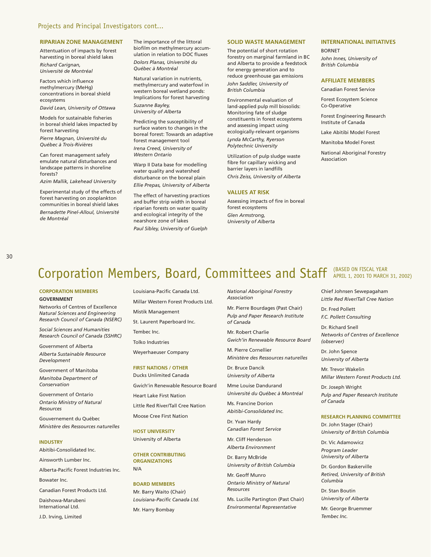#### Projects and Principal Investigators cont...

#### **RIPARIAN ZONE MANAGEMENT**

Attentuation of impacts by forest harvesting in boreal shield lakes *Richard Carignan, Université de Montréal*

Factors which influence methylmercury (MeHg) concentrations in boreal shield ecosystems

*David Lean, University of Ottawa*

Models for sustainable fisheries in boreal shield lakes impacted by forest harvesting

*Pierre Magnan, Université du Québec à Trois-Rivières*

Can forest management safely emulate natural disturbances and landscape patterns in shoreline forests?

*Azim Mallik, Lakehead University*

Experimental study of the effects of forest harvesting on zooplankton communities in boreal shield lakes *Bernadette Pinel-Alloul, Université de Montréal*

The importance of the littoral biofilm on methylmercury accumulation in relation to DOC fluxes *Dolors Planas, Université du Québec à Montréal*

Natural variation in nutrients, methylmercury and waterfowl in western boreal wetland ponds: Implications for forest harvesting *Suzanne Bayley, University of Alberta*

Predicting the susceptibility of surface waters to changes in the boreal forest: Towards an adaptive forest management tool *Irena Creed, University of Western Ontario*

Warp II Data base for modelling water quality and watershed disturbance on the boreal plain *Ellie Prepas, University of Alberta*

The effect of harvesting practices and buffer strip width in boreal riparian forests on water quality and ecological integrity of the nearshore zone of lakes *Paul Sibley, University of Guelph*

#### **SOLID WASTE MANAGEMENT**

The potential of short rotation forestry on marginal farmland in BC and Alberta to provide a feedstock for energy generation and to reduce greenhouse gas emissions *John Saddler, University of British Columbia*

Environmental evaluation of land-applied pulp mill biosolids: Monitoring fate of sludge constituents in forest ecosystems and assessing impact using ecologically-relevant organisms *Lynda McCarthy, Ryerson*

*Polytechnic University*

Utilization of pulp sludge waste fibre for capillary wicking and barrier layers in landfills *Chris Zeiss, University of Alberta*

#### **VALUES AT RISK**

Assessing impacts of fire in boreal forest ecosystems *Glen Armstrong, University of Alberta*

#### **INTERNATIONAL INITIATIVES**

BORNET *John Innes, University of British Columbia*

#### **AFFILIATE MEMBERS**

Canadian Forest Service

Forest Ecosystem Science Co-Operative

Forest Engineering Research Institute of Canada

Lake Abitibi Model Forest

Manitoba Model Forest

National Aboriginal Forestry Association

#### 30

# Corporation Members, Board, Committees and Staff (BASED ON FISCAL YEAR

#### **CORPORATION MEMBERS GOVERNMENT**

Networks of Centres of Excellence *Natural Sciences and Engineering Research Council of Canada (NSERC)*

*Social Sciences and Humanities Research Council of Canada (SSHRC)*

Government of Alberta *Alberta Sustainable Resource Development*

Government of Manitoba *Manitoba Department of Conservation*

Government of Ontario *Ontario Ministry of Natural Resources*

Gouvernement du Québec *Ministère des Ressources naturelles*

#### **INDUSTRY**

Abitibi-Consolidated Inc.

Ainsworth Lumber Inc.

Alberta-Pacific Forest Industries Inc.

Bowater Inc.

Canadian Forest Products Ltd.

Daishowa-Marubeni International Ltd.

J.D. Irving, Limited

Louisiana-Pacific Canada Ltd. Millar Western Forest Products Ltd.

Mistik Management

St. Laurent Paperboard Inc. Tembec Inc.

Tolko Industries

Weyerhaeuser Company

#### **FIRST NATIONS / OTHER**

Ducks Unlimited Canada Gwich'in Renewable Resource Board

Heart Lake First Nation

Little Red River/Tall Cree Nation Moose Cree First Nation

**HOST UNIVERSITY** University of Alberta

**OTHER CONTRIBUTING ORGANIZATIONS** N/A

#### **BOARD MEMBERS**

Mr. Barry Waito (Chair) *Louisiana-Pacific Canada Ltd.*

Mr. Harry Bombay

*National Aboriginal Forestry Association*

Mr. Pierre Bourdages (Past Chair) *Pulp and Paper Research Institute of Canada*

Mr. Robert Charlie *Gwich'in Renewable Resource Board*

M. Pierre Cornellier *Ministère des Ressources naturelles*

Dr. Bruce Dancik *University of Alberta*

Mme Louise Dandurand *Université du Québec à Montréal*

Ms. Francine Dorion *Abitibi-Consolidated Inc.*

Dr. Yvan Hardy *Canadian Forest Service*

Mr. Cliff Henderson *Alberta Environment*

Dr. Barry McBride *University of British Columbia*

Mr. Geoff Munro *Ontario Ministry of Natural*

*Resources* Ms. Lucille Partington (Past Chair) *Environmental Representative*

Chief Johnsen Sewepagaham *Little Red River/Tall Cree Nation*

Dr. Fred Pollett *F.C. Pollett Consulting*

Dr. Richard Snell *Networks of Centres of Excellence (observer)*

Dr. John Spence *University of Alberta*

Mr. Trevor Wakelin *Millar Western Forest Products Ltd.*

Dr. Joseph Wright *Pulp and Paper Research Institute of Canada*

#### **RESEARCH PLANNING COMMITTEE**

Dr. John Stager (Chair) *University of British Columbia*

Dr. Vic Adamowicz *Program Leader University of Alberta*

Dr. Gordon Baskerville *Retired, University of British Columbia*

Dr. Stan Boutin *University of Alberta*

Mr. George Bruemmer *Tembec Inc.*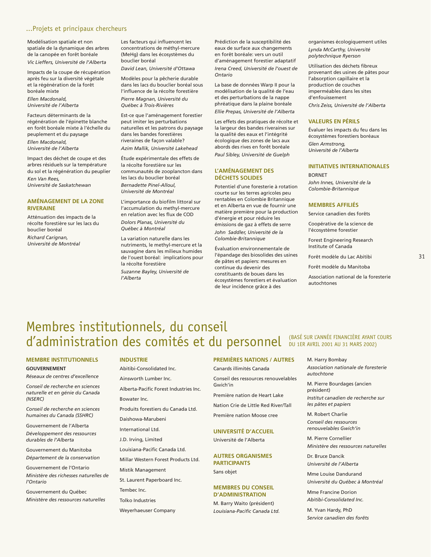#### ...Projets et principaux chercheurs

Modélisation spatiale et non spatiale de la dynamique des arbres de la canopée en forêt boréale *Vic Lieffers, Université de l'Alberta*

Impacts de la coupe de récupération après feu sur la diversité végétale et la régénération de la forêt boréale mixte

*Ellen Macdonald, Université de l'Alberta*

Facteurs déterminants de la régénération de l'épinette blanche en forêt boréale mixte à l'échelle du peuplement et du paysage *Ellen Macdonald, Université de l'Alberta*

Impact des déchet de coupe et des arbres résiduels sur la température du sol et la régénération du peuplier

*Ken Van Rees, Université de Saskatchewan*

#### **AMÉNAGEMENT DE LA ZONE RIVERAINE**

Atténuation des impacts de la récolte forestière sur les lacs du bouclier boréal

*Richard Carignan, Université de Montréal* Les facteurs qui influencent les concentrations de méthyl-mercure (MeHg) dans les écosystèmes du bouclier boréal

*David Lean, Université d'Ottawa*

Modèles pour la pêcherie durable dans les lacs du bouclier boréal sous l'influence de la récolte forestière *Pierre Magnan, Université du Québec à Trois-Rivières*

Est-ce que l'aménagement forestier peut imiter les perturbations naturelles et les patrons du paysage dans les bandes forestières riveraines de façon valable? *Azim Mallik, Université Lakehead* 

Étude expérimentale des effets de la récolte forestière sur les communautés de zooplancton dans les lacs du bouclier boréal *Bernadette Pinel-Alloul, Université de Montréal*

L'importance du biofilm littoral sur l'accumulation du methyl-mercure en relation avec les flux de COD *Dolors Planas, Université du Québec à Montréal*

La variation naturelle dans les nutriments, le methyl-mercure et la sauvagine dans les milieux humides de l'ouest boréal: implications pour la récolte forestière

*Suzanne Bayley, Université de l'Alberta*

Prédiction de la susceptibilité des eaux de surface aux changements en forêt boréale: vers un outil d'aménagement forestier adaptatif *Irena Creed, Université de l'ouest de Ontario*

La base de données Warp II pour la modélisation de la qualité de l'eau et des perturbations de la nappe phréatique dans la plaine boréale *Ellie Prepas, Université de l'Alberta*

Les effets des pratiques de récolte et la largeur des bandes riveraines sur la qualité des eaux et l'intégrité écologique des zones de lacs aux abords des rives en forêt boréale *Paul Sibley, Université de Guelph*

#### **L'AMÉNAGEMENT DES DÉCHETS SOLIDES**

Potentiel d'une foresterie à rotation courte sur les terres agricoles peu rentables en Colombie Britannique et en Alberta en vue de fournir une matière première pour la production d'énergie et pour réduire les émissions de gaz à effets de serre

*John Saddler, Université de la Colombie-Britannique*

Évaluation environnementale de l'épandage des biosolides des usines de pâtes et papiers: mesures en continue du devenir des constituants de boues dans les écosystèmes forestiers et évaluation de leur incidence grâce à des

organismes écologiquement utiles *Lynda McCarthy, Université polytechnique Ryerson*

Utilisation des déchets fibreux provenant des usines de pâtes pour l'absorption capillaire et la production de couches imperméables dans les sites d'enfouissement

*Chris Zeiss, Université de l'Alberta*

#### **VALEURS EN PÉRILS**

Évaluer les impacts du feu dans les écosystèmes forestiers boréaux *Glen Armstrong, Université de l'Alberta*

### **INITIATIVES INTERNATIONALES**

**BORNET** *John Innes, Université de la Colombie-Britannique*

#### **MEMBRES AFFILIÉS**

Service canadien des forêts

Coopérative de la science de l'écosystème forestier

Forest Engineering Research Institute of Canada

Forêt modèle du Lac Abitibi Forêt modèle du Manitoba

Association national de la foresterie autochtones

# Membres institutionnels, du conseil d'administration des comités et du personnel Susier L'ANNÉE FINANCIÈRE AYANT COURS

#### **MEMBRE INSTITUTIONNELS GOUVERNEMENT**

*Réseaux de centres d'excellence*

*Conseil de recherche en sciences naturelle et en génie du Canada (NSERC)*

*Conseil de recherche en sciences humaines du Canada (SSHRC)*

Gouvernement de l'Alberta *Développement des ressources durables de l'Alberta*

Gouvernement du Manitoba *Département de la conservation* 

Gouvernement de l'Ontario *Ministère des richesses naturelles de l'Ontario* 

Gouvernement du Québec *Ministère des ressources naturelles* 

#### **INDUSTRIE**

Abitibi-Consolidated Inc.

Ainsworth Lumber Inc.

Alberta-Pacific Forest Industries Inc. Bowater Inc.

Produits forestiers du Canada Ltd. Daishowa-Marubeni

International Ltd.

J.D. Irving, Limited

Louisiana-Pacific Canada Ltd.

Millar Western Forest Products Ltd. Mistik Management

Tembec Inc.

Tolko Industries

Weyerhaeuser Company

#### **PREMIÈRES NATIONS / AUTRES**

Canards illimités Canada

Conseil des ressources renouvelables Gwich'in

Première nation de Heart Lake

Nation Crie de Little Red River/Tall

M. Robert Charlie

### **UNIVERSITÉ D'ACCUEIL**

Première nation Moose cree

Université de l'Alberta

### **AUTRES ORGANISMES PARTICIPANTS**

#### **MEMBRES DU CONSEIL D'ADMINISTRATION**

M. Barry Waito (président) *Louisiana-Pacific Canada Ltd.*

M. Harry Bombay *Association nationale de foresterie autochtone*

M. Pierre Bourdages (ancien président)

*Institut canadien de recherche sur les pâtes et papiers*

*Conseil des ressources renouvelables Gwich'in* 

M. Pierre Cornellier *Ministère des ressources naturelles*

Dr. Bruce Dancik *Université de l'Alberta*

Mme Louise Dandurand *Université du Québec à Montréal*

Mme Francine Dorion *Abitibi-Consolidated Inc.*

M. Yvan Hardy, PhD *Service canadien des forêts*

St. Laurent Paperboard Inc. Sans objet 31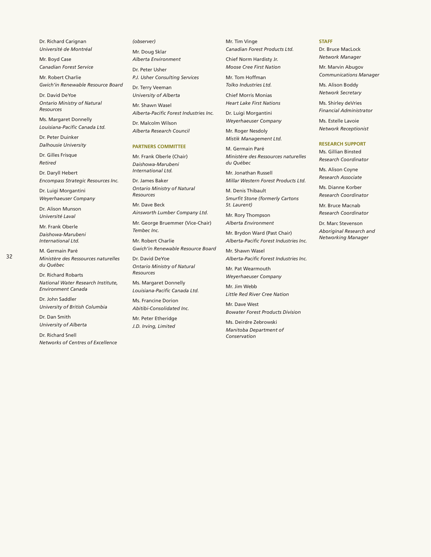Dr. Richard Carignan *Université de Montréal*

Mr. Boyd Case *Canadian Forest Service*

Mr. Robert Charlie *Gwich'in Renewable Resource Board*

Dr. David DeYoe *Ontario Ministry of Natural Resources*

Ms. Margaret Donnelly *Louisiana-Pacific Canada Ltd.*

Dr. Peter Duinker *Dalhousie University*

Dr. Gilles Frisque *Retired*

Dr. Daryll Hebert *Encompass Strategic Resources Inc.*

Dr. Luigi Morgantini *Weyerhaeuser Company*

Dr. Alison Munson *Université Laval*

Mr. Frank Oberle *Daishowa-Marubeni International Ltd.*

M. Germain Paré *Ministère des Ressources naturelles du Québec*

Dr. Richard Robarts *National Water Research Institute, Environment Canada*

Dr. John Saddler *University of British Columbia*

Dr. Dan Smith *University of Alberta*

Dr. Richard Snell *Networks of Centres of Excellence* *(observer)* Mr. Doug Sklar *Alberta Environment* Dr. Peter Usher

*P.J. Usher Consulting Services* Dr. Terry Veeman

*University of Alberta* Mr. Shawn Wasel *Alberta-Pacific Forest Industries Inc.*

Dr. Malcolm Wilson *Alberta Research Council*

#### **PARTNERS COMMITTEE**

Mr. Frank Oberle (Chair) *Daishowa-Marubeni International Ltd.*

Dr. James Baker *Ontario Ministry of Natural Resources*

Mr. Dave Beck *Ainsworth Lumber Company Ltd.*

Mr. George Bruemmer (Vice-Chair) *Tembec Inc.*

Mr. Robert Charlie *Gwich'in Renewable Resource Board*

Dr. David DeYoe *Ontario Ministry of Natural Resources*

Ms. Margaret Donnelly *Louisiana-Pacific Canada Ltd.*

Ms. Francine Dorion *Abitibi-Consolidated Inc.*

Mr. Peter Etheridge *J.D. Irving, Limited*

Mr. Tim Vinge *Canadian Forest Products Ltd.* Chief Norm Hardisty Jr.

*Moose Cree First Nation* Mr. Tom Hoffman

*Tolko Industries Ltd.* Chief Morris Monias

*Heart Lake First Nations*

Dr. Luigi Morgantini *Weyerhaeuser Company*

Mr. Roger Nesdoly *Mistik Management Ltd.*

M. Germain Paré *Ministère des Ressources naturelles du Québec*

Mr. Jonathan Russell *Millar Western Forest Products Ltd.*

M. Denis Thibault *Smurfit Stone (formerly Cartons St. Laurent)*

Mr. Rory Thompson *Alberta Environment*

Mr. Brydon Ward (Past Chair) *Alberta-Pacific Forest Industries Inc.*

Mr. Shawn Wasel *Alberta-Pacific Forest Industries Inc.*

Mr. Pat Wearmouth *Weyerhaeuser Company*

Mr. Jim Webb *Little Red River Cree Nation*

Mr. Dave West *Bowater Forest Products Division*

Ms. Deirdre Zebrowski *Manitoba Department of Conservation*

#### **STAFF**

Dr. Bruce MacLock *Network Manager*

Mr. Marvin Abugov *Communications Manager*

Ms. Alison Boddy *Network Secretary*

Ms. Shirley deVries *Financial Administrator*

Ms. Estelle Lavoie *Network Receptionist*

#### **RESEARCH SUPPORT**

Ms. Gillian Binsted *Research Coordinator*

Ms. Alison Coyne *Research Associate*

Ms. Dianne Korber *Research Coordinator*

Mr. Bruce Macnab *Research Coordinator*

Dr. Marc Stevenson *Aboriginal Research and Networking Manager*

32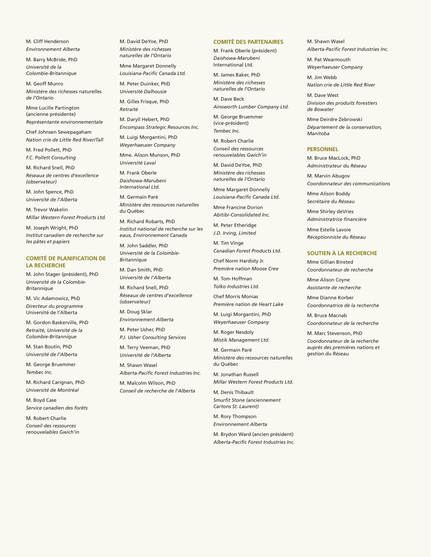M. Cliff Henderson *Environnement Alberta*

M. Barry McBride, PhD *Université de la Colombie-Britannique*

M. Geoff Munro *Ministère des richesses naturelles de l'Ontario*

Mme Lucille Partington (ancienne présidente) *Représentante environnementale* 

Chef Johnsen Sewepagaham *Nation crie de Little Red River/Tall* 

M. Fred Pollett, PhD *F.C. Pollett Consulting*

M. Richard Snell, PhD *Réseaux de centres d'excellence (observateur)*

M. John Spence, PhD *Université de l'Alberta*

M. Trevor Wakelin *Millar Western Forest Products Ltd.*

M. Joseph Wright, PhD *Institut canadien de recherche sur les pâtes et papiers*

#### **COMITÉ DE PLANIFICATION DE LA RECHERCHE**

M. John Stager (président), PhD *Université de la Colombie-Britannique*

M. Vic Adamowicz, PhD *Directeur du programme* Université de l'Alberta

M. Gordon Baskerville, PhD *Retraité, Université de la Colombie-Britannique*

M. Stan Boutin, PhD *Université de l'Alberta*

M. George Bruemmer *Tembec Inc.*

M. Richard Carignan, PhD *Université de Montréal*

M. Boyd Case *Service canadien des forêts*

M. Robert Charlie *Conseil des ressources renouvelables Gwich'in*  M. David DeYoe, PhD *Ministère des richesses naturelles de l'Ontario*

Mme Margaret Donnelly *Louisiana-Pacific Canada Ltd.*

M. Peter Duinker, PhD *Université Dalhousie*

M. Gilles Frisque, PhD *Retraité*

M. Daryll Hebert, PhD *Encompass Strategic Resources Inc.*

M. Luigi Morgantini, PhD *Weyerhaeuser Company*

Mme. Alison Munson, PhD *Université Laval*

M. Frank Oberle *Daishowa-Marubeni* 

*International Ltd.*

M. Germain Paré *Ministère des ressources naturelles*  du Québec

M. Richard Robarts, PhD *Institut national de recherche sur les eaux, Environnement Canada*

M. John Saddler, PhD *Université de la Colombie-Britannique*

M. Dan Smith, PhD *Université de l'Alberta*

M. Richard Snell, PhD

*Réseaux de centres d'excellence (observateur)*

M. Doug Sklar *Environnement Alberta*

M. Peter Usher, PhD *P.J. Usher Consulting Services*

M. Terry Veeman, PhD *Université de l'Alberta*

M. Shawn Wasel *Alberta-Pacific Forest Industries Inc.*

M. Malcolm Wilson, PhD *Conseil de recherche de l'Alberta*

#### **COMITÉ DES PARTENAIRES**

M. Frank Oberle (président) *Daishowa-Marubeni*  International Ltd.

M. James Baker, PhD *Ministère des richesses naturelles de l'Ontario* 

M. Dave Beck *Ainsworth Lumber Company Ltd.*

M. George Bruemmer (vice-président) *Tembec Inc.*

M. Robert Charlie *Conseil des ressources renouvelables Gwich'in* 

M. David DeYoe, PhD *Ministère des richesses naturelles de l'Ontario* 

Mme Margaret Donnelly *Louisiana-Pacific Canada Ltd.*

Mme Francine Dorion *Abitibi-Consolidated Inc.*

M. Peter Etheridge *J.D. Irving, Limited*

M. Tim Vinge *Canadian Forest Products Ltd.*

Chef Norm Hardisty Jr. *Première nation Moose Cree* 

M. Tom Hoffman *Tolko Industries Ltd.*

Chef Morris Monias *Première nation de Heart Lake*

M. Luigi Morgantini, PhD *Weyerhaeuser Company*

M. Roger Nesdoly *Mistik Management Ltd.*

M. Germain Paré *Ministère des ressources naturelles*  du Québec

M. Jonathan Russell *Millar Western Forest Products Ltd.*

M. Denis Thibault *Smurfit Stone (anciennement Cartons St. Laurent)*

M. Rory Thompson *Environnement Alberta*

M. Brydon Ward (ancien président) *Alberta-Pacific Forest Industries Inc.* M. Shawn Wasel *Alberta-Pacific Forest Industries Inc.*

M. Pat Wearmouth *Weyerhaeuser Company*

M. Jim Webb *Nation crie de Little Red River*

M. Dave West *Division des produits forestiers de Bowater* 

Mme Deirdre Zebrowski *Département de la conservation, Manitoba*

#### **PERSONNEL**

M. Bruce MacLock, PhD *Administrateur du Réseau*

M. Marvin Abugov *Coordonnateur des communications*

Mme Alison Boddy *Secrétaire du Réseau*

Mme Shirley deVries *Administratrice financière*

Mme Estelle Lavoie *Réceptionniste du Réseau*

#### **SOUTIEN À LA RECHERCHE**

Mme Gillian Binsted *Coordonnateur de recherche*

Mme Alison Coyne *Assistante de recherche*

Mme Dianne Korber *Coordonnatrice de la recherche*

M. Bruce Macnab *Coordonnateur de la recherche*

M. Marc Stevenson, PhD *Coordonnateur de la recherche auprès des premières nations et gestion du Réseau*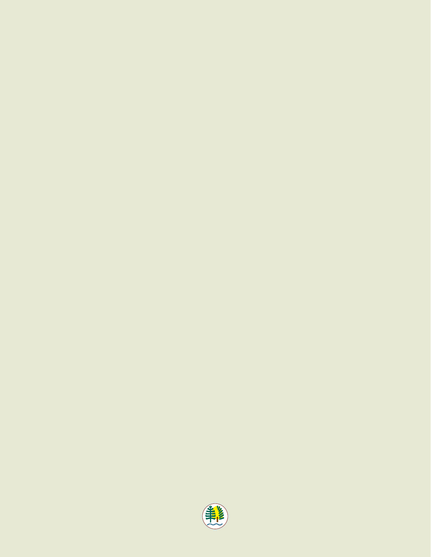